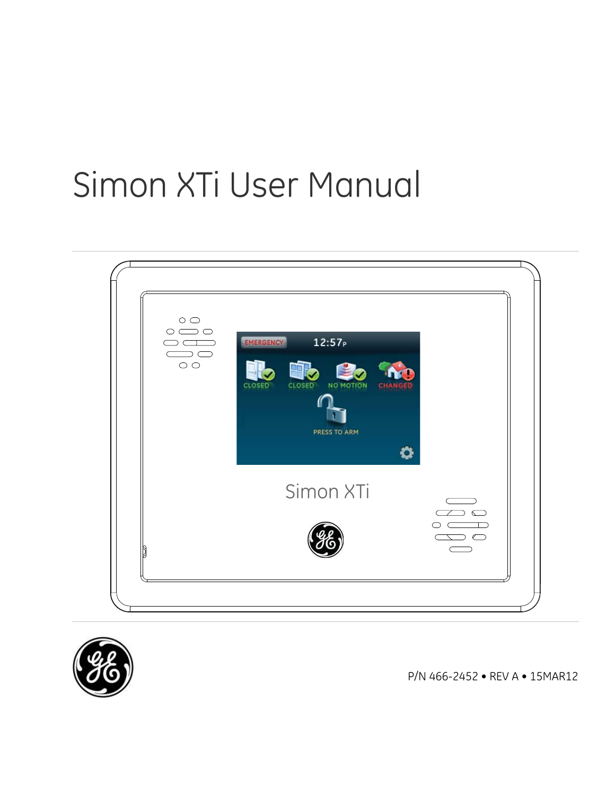# Simon XTi User Manual





P/N 466-2452 • REV A • 15MAR12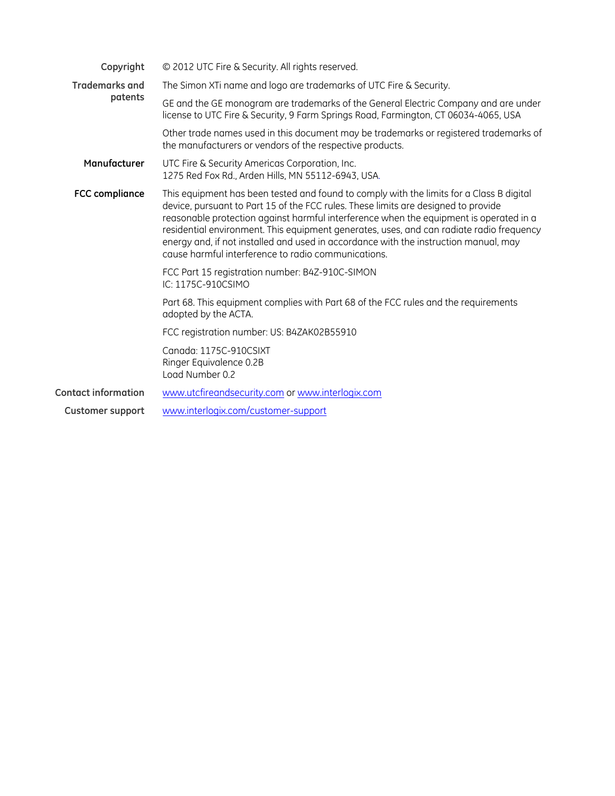| Copyright                  | © 2012 UTC Fire & Security. All rights reserved.                                                                                                                                                                                                                                                                                                                                                                                                                                                                    |  |  |
|----------------------------|---------------------------------------------------------------------------------------------------------------------------------------------------------------------------------------------------------------------------------------------------------------------------------------------------------------------------------------------------------------------------------------------------------------------------------------------------------------------------------------------------------------------|--|--|
| <b>Trademarks and</b>      | The Simon XTi name and logo are trademarks of UTC Fire & Security.                                                                                                                                                                                                                                                                                                                                                                                                                                                  |  |  |
| patents                    | GE and the GE monogram are trademarks of the General Electric Company and are under<br>license to UTC Fire & Security, 9 Farm Springs Road, Farmington, CT 06034-4065, USA                                                                                                                                                                                                                                                                                                                                          |  |  |
|                            | Other trade names used in this document may be trademarks or registered trademarks of<br>the manufacturers or vendors of the respective products.                                                                                                                                                                                                                                                                                                                                                                   |  |  |
| Manufacturer               | UTC Fire & Security Americas Corporation, Inc.<br>1275 Red Fox Rd., Arden Hills, MN 55112-6943, USA.                                                                                                                                                                                                                                                                                                                                                                                                                |  |  |
| <b>FCC compliance</b>      | This equipment has been tested and found to comply with the limits for a Class B digital<br>device, pursuant to Part 15 of the FCC rules. These limits are designed to provide<br>reasonable protection against harmful interference when the equipment is operated in a<br>residential environment. This equipment generates, uses, and can radiate radio frequency<br>energy and, if not installed and used in accordance with the instruction manual, may<br>cause harmful interference to radio communications. |  |  |
|                            | FCC Part 15 registration number: B4Z-910C-SIMON<br>IC: 1175C-910CSIMO                                                                                                                                                                                                                                                                                                                                                                                                                                               |  |  |
|                            | Part 68. This equipment complies with Part 68 of the FCC rules and the requirements<br>adopted by the ACTA.                                                                                                                                                                                                                                                                                                                                                                                                         |  |  |
|                            | FCC registration number: US: B4ZAK02B55910                                                                                                                                                                                                                                                                                                                                                                                                                                                                          |  |  |
|                            | Canada: 1175C-910CSIXT<br>Ringer Equivalence 0.2B<br>Load Number 0.2                                                                                                                                                                                                                                                                                                                                                                                                                                                |  |  |
| <b>Contact information</b> | www.utcfireandsecurity.com or www.interlogix.com                                                                                                                                                                                                                                                                                                                                                                                                                                                                    |  |  |
| <b>Customer support</b>    | www.interlogix.com/customer-support                                                                                                                                                                                                                                                                                                                                                                                                                                                                                 |  |  |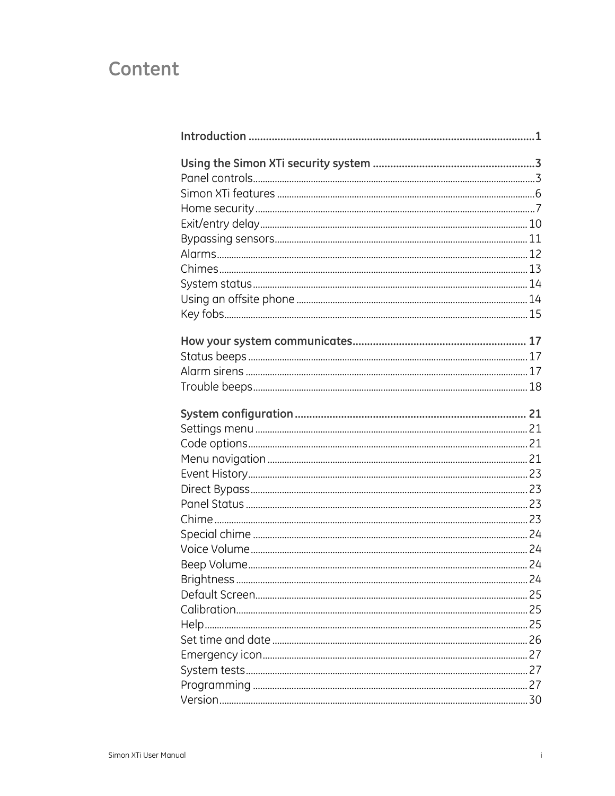## Content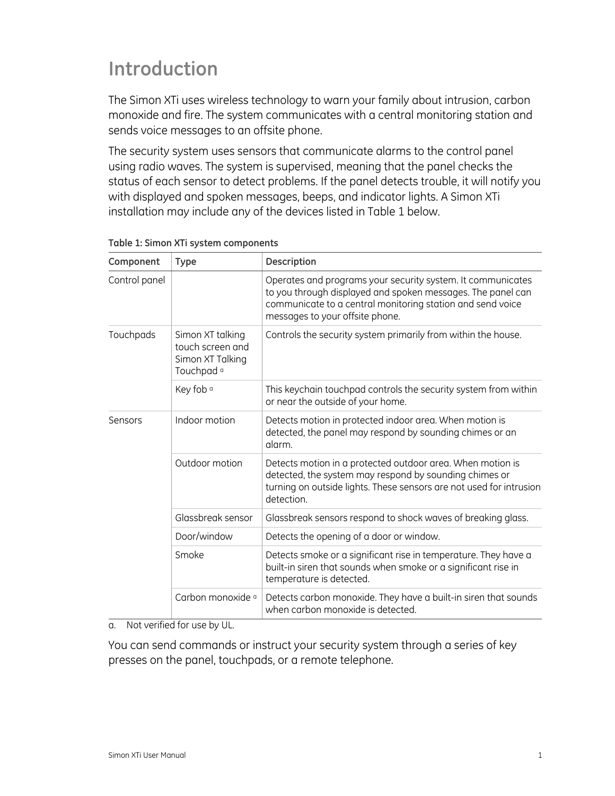## <span id="page-4-0"></span>**Introduction**

The Simon XTi uses wireless technology to warn your family about intrusion, carbon monoxide and fire. The system communicates with a central monitoring station and sends voice messages to an offsite phone.

The security system uses sensors that communicate alarms to the control panel using radio waves. The system is supervised, meaning that the panel checks the status of each sensor to detect problems. If the panel detects trouble, it will notify you with displayed and spoken messages, beeps, and indicator lights. A Simon XTi installation may include any of the devices listed in [Table 1](#page-4-1) [below.](#page-4-1)

| Component     | <b>Type</b>                                                                       | Description                                                                                                                                                                                                                 |  |
|---------------|-----------------------------------------------------------------------------------|-----------------------------------------------------------------------------------------------------------------------------------------------------------------------------------------------------------------------------|--|
| Control panel |                                                                                   | Operates and programs your security system. It communicates<br>to you through displayed and spoken messages. The panel can<br>communicate to a central monitoring station and send voice<br>messages to your offsite phone. |  |
| Touchpads     | Simon XT talking<br>touch screen and<br>Simon XT Talking<br>Touchpad <sup>a</sup> | Controls the security system primarily from within the house.                                                                                                                                                               |  |
|               | Key fob <sup>a</sup>                                                              | This keychain touchpad controls the security system from within<br>or near the outside of your home.                                                                                                                        |  |
| Sensors       | Indoor motion                                                                     | Detects motion in protected indoor area. When motion is<br>detected, the panel may respond by sounding chimes or an<br>alarm.                                                                                               |  |
|               | Outdoor motion                                                                    | Detects motion in a protected outdoor area. When motion is<br>detected, the system may respond by sounding chimes or<br>turning on outside lights. These sensors are not used for intrusion<br>detection.                   |  |
|               | Glassbreak sensor                                                                 | Glassbreak sensors respond to shock waves of breaking glass.                                                                                                                                                                |  |
|               | Door/window                                                                       | Detects the opening of a door or window.                                                                                                                                                                                    |  |
|               | Smoke                                                                             | Detects smoke or a significant rise in temperature. They have a<br>built-in siren that sounds when smoke or a significant rise in<br>temperature is detected.                                                               |  |
|               | Carbon monoxide <sup>a</sup>                                                      | Detects carbon monoxide. They have a built-in siren that sounds<br>when carbon monoxide is detected.                                                                                                                        |  |

#### <span id="page-4-1"></span>**Table 1: Simon XTi system components**

a. Not verified for use by UL.

You can send commands or instruct your security system through a series of key presses on the panel, touchpads, or a remote telephone.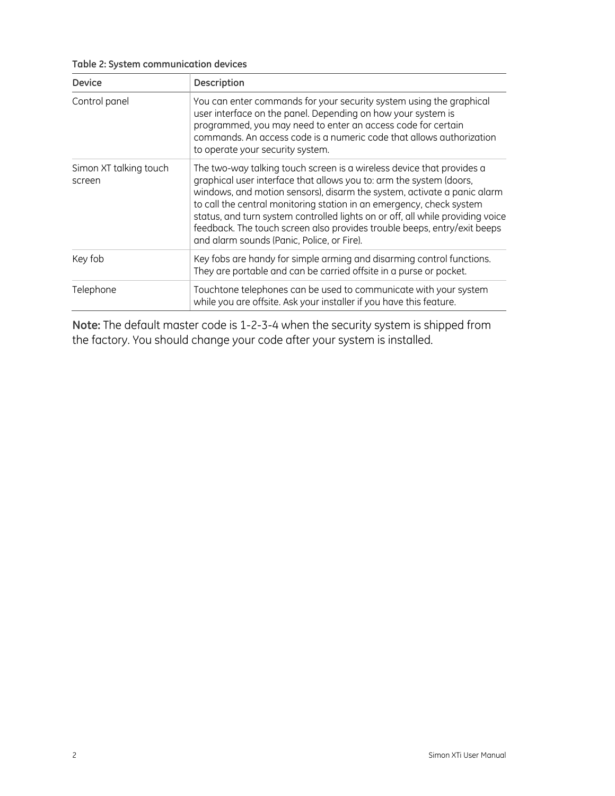**Table 2: System communication devices** 

| <b>Device</b>                    | <b>Description</b>                                                                                                                                                                                                                                                                                                                                                                                                                                                                                          |  |  |
|----------------------------------|-------------------------------------------------------------------------------------------------------------------------------------------------------------------------------------------------------------------------------------------------------------------------------------------------------------------------------------------------------------------------------------------------------------------------------------------------------------------------------------------------------------|--|--|
| Control panel                    | You can enter commands for your security system using the graphical<br>user interface on the panel. Depending on how your system is<br>programmed, you may need to enter an access code for certain<br>commands. An access code is a numeric code that allows authorization<br>to operate your security system.                                                                                                                                                                                             |  |  |
| Simon XT talking touch<br>screen | The two-way talking touch screen is a wireless device that provides a<br>graphical user interface that allows you to: arm the system (doors,<br>windows, and motion sensors), disarm the system, activate a panic alarm<br>to call the central monitoring station in an emergency, check system<br>status, and turn system controlled lights on or off, all while providing voice<br>feedback. The touch screen also provides trouble beeps, entry/exit beeps<br>and alarm sounds (Panic, Police, or Fire). |  |  |
| Key fob                          | Key fobs are handy for simple arming and disarming control functions.<br>They are portable and can be carried offsite in a purse or pocket.                                                                                                                                                                                                                                                                                                                                                                 |  |  |
| Telephone                        | Touchtone telephones can be used to communicate with your system<br>while you are offsite. Ask your installer if you have this feature.                                                                                                                                                                                                                                                                                                                                                                     |  |  |

**Note:** The default master code is 1-2-3-4 when the security system is shipped from the factory. You should change your code after your system is installed.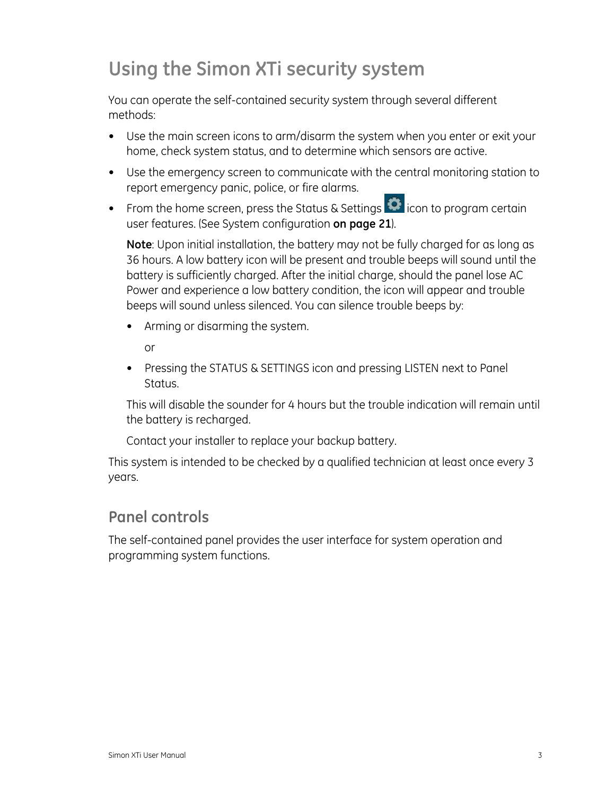## <span id="page-6-0"></span>**Using the Simon XTi security system**

You can operate the self-contained security system through several different methods:

- Use the main screen icons to arm/disarm the system when you enter or exit your home, check system status, and to determine which sensors are active.
- Use the emergency screen to communicate with the central monitoring station to report emergency panic, police, or fire alarms.
- From the home screen, press the Status & Settings  $\bullet$  icon to program certain user features. (See [System configuration](#page-24-0) **[on page 21](#page-24-0)**).

**Note**: Upon initial installation, the battery may not be fully charged for as long as 36 hours. A low battery icon will be present and trouble beeps will sound until the battery is sufficiently charged. After the initial charge, should the panel lose AC Power and experience a low battery condition, the icon will appear and trouble beeps will sound unless silenced. You can silence trouble beeps by:

• Arming or disarming the system.

or

 • Pressing the STATUS & SETTINGS icon and pressing LISTEN next to Panel Status.

This will disable the sounder for 4 hours but the trouble indication will remain until the battery is recharged.

Contact your installer to replace your backup battery.

This system is intended to be checked by a qualified technician at least once every 3 years.

## <span id="page-6-1"></span>**Panel controls**

The self-contained panel provides the user interface for system operation and programming system functions.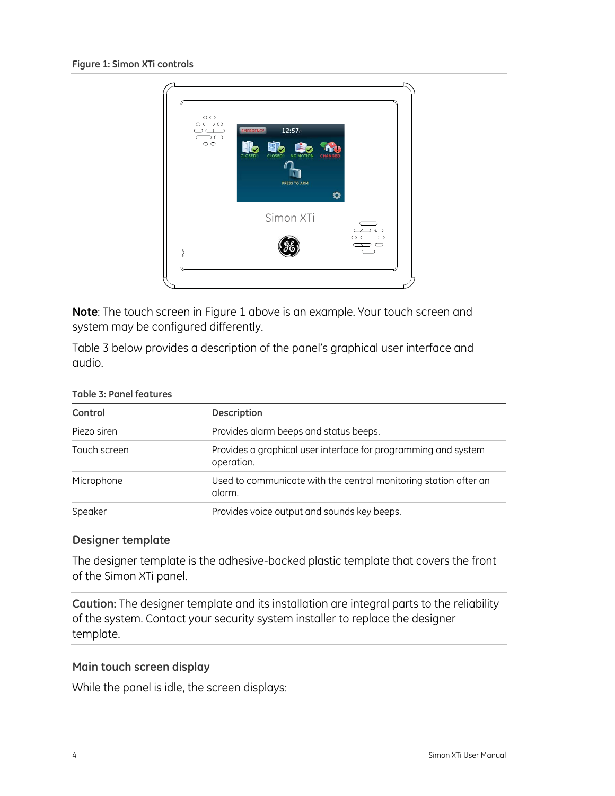<span id="page-7-0"></span>

**Note**: The touch screen in [Figure 1](#page-7-0) [above](#page-7-0) is an example. Your touch screen and system may be configured differently.

[Table 3](#page-7-1) [below](#page-7-1) provides a description of the panel's graphical user interface and audio.

| Control      | <b>Description</b>                                                           |
|--------------|------------------------------------------------------------------------------|
| Piezo siren  | Provides alarm beeps and status beeps.                                       |
| Touch screen | Provides a graphical user interface for programming and system<br>operation. |
| Microphone   | Used to communicate with the central monitoring station after an<br>alarm.   |
| Speaker      | Provides voice output and sounds key beeps.                                  |

#### <span id="page-7-1"></span>**Table 3: Panel features**

#### **Designer template**

The designer template is the adhesive-backed plastic template that covers the front of the Simon XTi panel.

**Caution:** The designer template and its installation are integral parts to the reliability of the system. Contact your security system installer to replace the designer template.

#### **Main touch screen display**

While the panel is idle, the screen displays: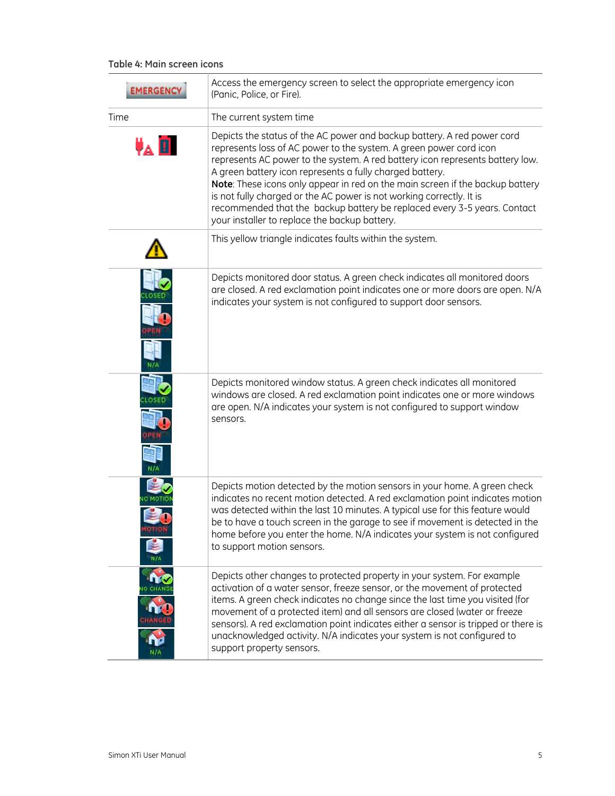#### <span id="page-8-0"></span>**Table 4: Main screen icons**

| <b>EMERGENCY</b>       | Access the emergency screen to select the appropriate emergency icon<br>(Panic, Police, or Fire).                                                                                                                                                                                                                                                                                                                                                                                                                                                                                |  |  |
|------------------------|----------------------------------------------------------------------------------------------------------------------------------------------------------------------------------------------------------------------------------------------------------------------------------------------------------------------------------------------------------------------------------------------------------------------------------------------------------------------------------------------------------------------------------------------------------------------------------|--|--|
| Time                   | The current system time                                                                                                                                                                                                                                                                                                                                                                                                                                                                                                                                                          |  |  |
| $\Psi_{\mathbf{A}}$ in | Depicts the status of the AC power and backup battery. A red power cord<br>represents loss of AC power to the system. A green power cord icon<br>represents AC power to the system. A red battery icon represents battery low.<br>A green battery icon represents a fully charged battery.<br>Note: These icons only appear in red on the main screen if the backup battery<br>is not fully charged or the AC power is not working correctly. It is<br>recommended that the backup battery be replaced every 3-5 years. Contact<br>your installer to replace the backup battery. |  |  |
|                        | This yellow triangle indicates faults within the system.                                                                                                                                                                                                                                                                                                                                                                                                                                                                                                                         |  |  |
|                        | Depicts monitored door status. A green check indicates all monitored doors<br>are closed. A red exclamation point indicates one or more doors are open. N/A<br>indicates your system is not configured to support door sensors.                                                                                                                                                                                                                                                                                                                                                  |  |  |
|                        | Depicts monitored window status. A green check indicates all monitored<br>windows are closed. A red exclamation point indicates one or more windows<br>are open. N/A indicates your system is not configured to support window<br>sensors.                                                                                                                                                                                                                                                                                                                                       |  |  |
| OTION                  | Depicts motion detected by the motion sensors in your home. A green check<br>indicates no recent motion detected. A red exclamation point indicates motion<br>was detected within the last 10 minutes. A typical use for this feature would<br>be to have a touch screen in the garage to see if movement is detected in the<br>home before you enter the home. N/A indicates your system is not configured<br>to support motion sensors.                                                                                                                                        |  |  |
|                        | Depicts other changes to protected property in your system. For example<br>activation of a water sensor, freeze sensor, or the movement of protected<br>items. A green check indicates no change since the last time you visited (for<br>movement of a protected item) and all sensors are closed (water or freeze<br>sensors). A red exclamation point indicates either a sensor is tripped or there is<br>unacknowledged activity. N/A indicates your system is not configured to<br>support property sensors.                                                                 |  |  |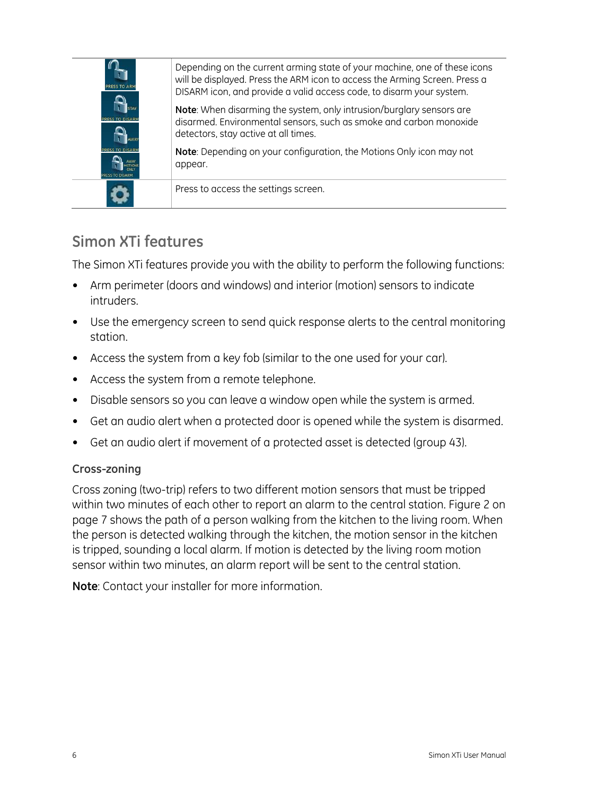| <b>ESS TO</b> | Depending on the current arming state of your machine, one of these icons<br>will be displayed. Press the ARM icon to access the Arming Screen. Press a<br>DISARM icon, and provide a valid access code, to disarm your system. |
|---------------|---------------------------------------------------------------------------------------------------------------------------------------------------------------------------------------------------------------------------------|
|               | Note: When disarming the system, only intrusion/burglary sensors are<br>disarmed. Environmental sensors, such as smoke and carbon monoxide<br>detectors, stay active at all times.                                              |
|               | Note: Depending on your configuration, the Motions Only icon may not<br>appear.                                                                                                                                                 |
|               | Press to access the settings screen.                                                                                                                                                                                            |

## <span id="page-9-0"></span>**Simon XTi features**

The Simon XTi features provide you with the ability to perform the following functions:

- Arm perimeter (doors and windows) and interior (motion) sensors to indicate intruders.
- Use the emergency screen to send quick response alerts to the central monitoring station.
- Access the system from a key fob (similar to the one used for your car).
- Access the system from a remote telephone.
- Disable sensors so you can leave a window open while the system is armed.
- Get an audio alert when a protected door is opened while the system is disarmed.
- Get an audio alert if movement of a protected asset is detected (group 43).

#### **Cross-zoning**

Cross zoning (two-trip) refers to two different motion sensors that must be tripped within two minutes of each other to report an alarm to the central station. [Figure 2](#page-10-1) [on](#page-10-1)  [page 7](#page-10-1) shows the path of a person walking from the kitchen to the living room. When the person is detected walking through the kitchen, the motion sensor in the kitchen is tripped, sounding a local alarm. If motion is detected by the living room motion sensor within two minutes, an alarm report will be sent to the central station.

**Note**: Contact your installer for more information.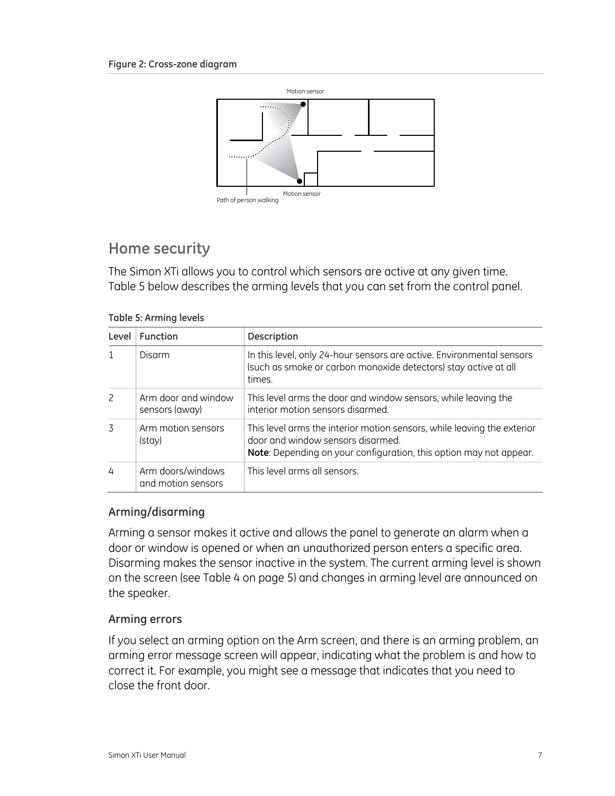<span id="page-10-1"></span>

## <span id="page-10-0"></span>**Home security**

The Simon XTi allows you to control which sensors are active at any given time. [Table 5](#page-10-2) [below](#page-10-2) describes the arming levels that you can set from the control panel.

#### **Table 5: Arming levels**

<span id="page-10-2"></span>

| Level | <b>Function</b>                         | <b>Description</b>                                                                                                                                                                 |
|-------|-----------------------------------------|------------------------------------------------------------------------------------------------------------------------------------------------------------------------------------|
|       | Disarm                                  | In this level, only 24-hour sensors are active. Environmental sensors<br>(such as smoke or carbon monoxide detectors) stay active at all<br>times.                                 |
|       | Arm door and window<br>sensors (away)   | This level arms the door and window sensors, while leaving the<br>interior motion sensors disarmed.                                                                                |
| 3     | Arm motion sensors<br>(stay)            | This level arms the interior motion sensors, while leaving the exterior<br>door and window sensors disarmed.<br>Note: Depending on your configuration, this option may not appear. |
| 4     | Arm doors/windows<br>and motion sensors | This level arms all sensors.                                                                                                                                                       |

### **Arming/disarming**

Arming a sensor makes it active and allows the panel to generate an alarm when a door or window is opened or when an unauthorized person enters a specific area. Disarming makes the sensor inactive in the system. The current arming level is shown on the screen (see [Table 4](#page-8-0) [on page 5](#page-8-0)) and changes in arming level are announced on the speaker.

### **Arming errors**

If you select an arming option on the Arm screen, and there is an arming problem, an arming error message screen will appear, indicating what the problem is and how to correct it. For example, you might see a message that indicates that you need to close the front door.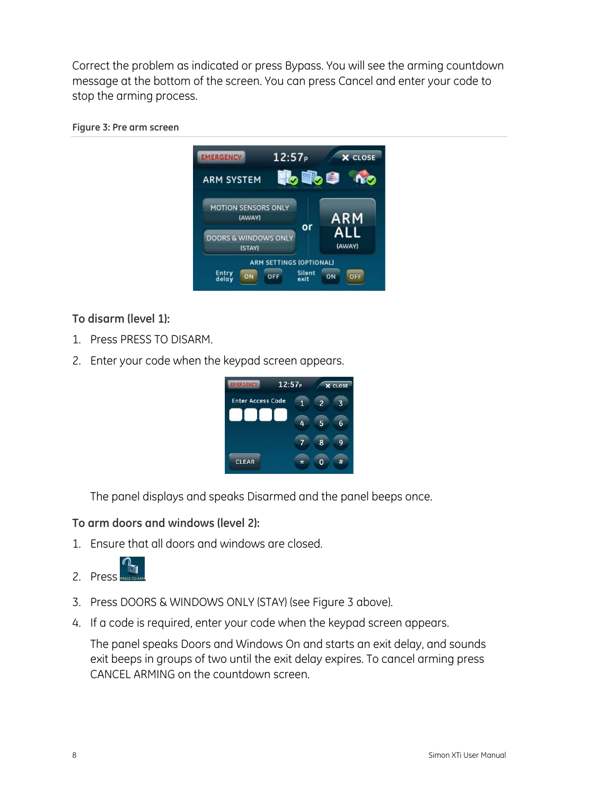Correct the problem as indicated or press Bypass. You will see the arming countdown message at the bottom of the screen. You can press Cancel and enter your code to stop the arming process.

#### <span id="page-11-0"></span>**Figure 3: Pre arm screen**



**To disarm (level 1):** 

- 1. Press PRESS TO DISARM.
- 2. Enter your code when the keypad screen appears.



The panel displays and speaks Disarmed and the panel beeps once.

#### **To arm doors and windows (level 2):**

1. Ensure that all doors and windows are closed.



- 3. Press DOORS & WINDOWS ONLY (STAY) (see [Figure 3](#page-11-0) [above](#page-11-0)).
- 4. If a code is required, enter your code when the keypad screen appears.

The panel speaks Doors and Windows On and starts an exit delay, and sounds exit beeps in groups of two until the exit delay expires. To cancel arming press CANCEL ARMING on the countdown screen.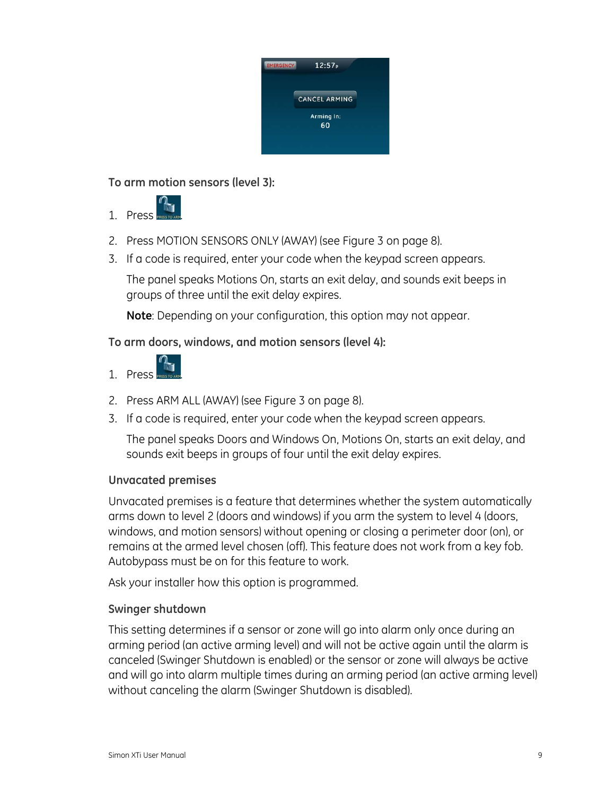

**To arm motion sensors (level 3):** 



- 2. Press MOTION SENSORS ONLY (AWAY) (see [Figure 3](#page-11-0) [on page 8](#page-11-0)).
- 3. If a code is required, enter your code when the keypad screen appears.

The panel speaks Motions On, starts an exit delay, and sounds exit beeps in groups of three until the exit delay expires.

**Note**: Depending on your configuration, this option may not appear.

## **To arm doors, windows, and motion sensors (level 4):**



- 2. Press ARM ALL (AWAY) (see [Figure 3](#page-11-0) [on page 8](#page-11-0)).
- 3. If a code is required, enter your code when the keypad screen appears.

The panel speaks Doors and Windows On, Motions On, starts an exit delay, and sounds exit beeps in groups of four until the exit delay expires.

### **Unvacated premises**

Unvacated premises is a feature that determines whether the system automatically arms down to level 2 (doors and windows) if you arm the system to level 4 (doors, windows, and motion sensors) without opening or closing a perimeter door (on), or remains at the armed level chosen (off). This feature does not work from a key fob. Autobypass must be on for this feature to work.

Ask your installer how this option is programmed.

### **Swinger shutdown**

This setting determines if a sensor or zone will go into alarm only once during an arming period (an active arming level) and will not be active again until the alarm is canceled (Swinger Shutdown is enabled) or the sensor or zone will always be active and will go into alarm multiple times during an arming period (an active arming level) without canceling the alarm (Swinger Shutdown is disabled).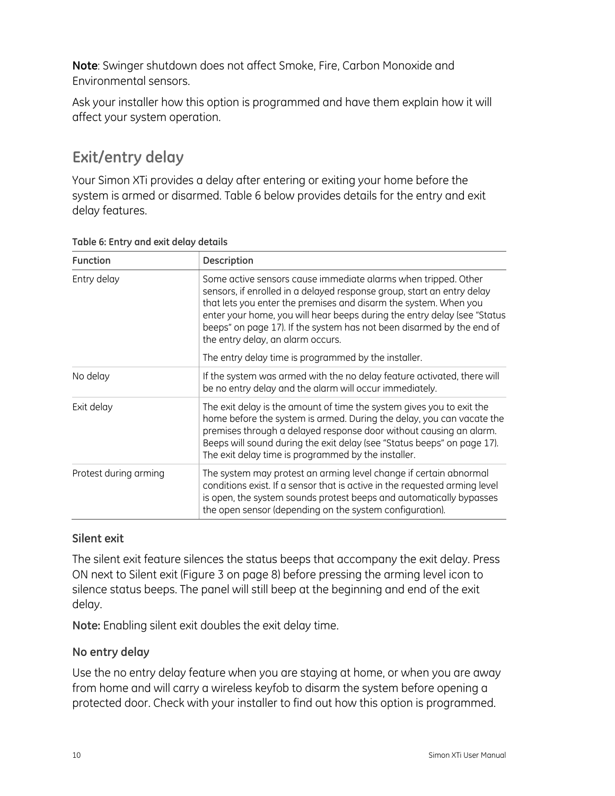**Note**: Swinger shutdown does not affect Smoke, Fire, Carbon Monoxide and Environmental sensors.

Ask your installer how this option is programmed and have them explain how it will affect your system operation.

## <span id="page-13-0"></span>**Exit/entry delay**

Your Simon XTi provides a delay after entering or exiting your home before the system is armed or disarmed. [Table 6](#page-13-1) [below](#page-13-1) provides details for the entry and exit delay features.

| <b>Function</b>       | <b>Description</b>                                                                                                                                                                                                                                                                                                                                                                                     |  |  |
|-----------------------|--------------------------------------------------------------------------------------------------------------------------------------------------------------------------------------------------------------------------------------------------------------------------------------------------------------------------------------------------------------------------------------------------------|--|--|
| Entry delay           | Some active sensors cause immediate alarms when tripped. Other<br>sensors, if enrolled in a delayed response group, start an entry delay<br>that lets you enter the premises and disarm the system. When you<br>enter your home, you will hear beeps during the entry delay (see "Status<br>beeps" on page 17). If the system has not been disarmed by the end of<br>the entry delay, an alarm occurs. |  |  |
|                       | The entry delay time is programmed by the installer.                                                                                                                                                                                                                                                                                                                                                   |  |  |
| No delay              | If the system was armed with the no delay feature activated, there will<br>be no entry delay and the alarm will occur immediately.                                                                                                                                                                                                                                                                     |  |  |
| Exit delay            | The exit delay is the amount of time the system gives you to exit the<br>home before the system is armed. During the delay, you can vacate the<br>premises through a delayed response door without causing an alarm.<br>Beeps will sound during the exit delay (see "Status beeps" on page 17).<br>The exit delay time is programmed by the installer.                                                 |  |  |
| Protest during arming | The system may protest an arming level change if certain abnormal<br>conditions exist. If a sensor that is active in the requested arming level<br>is open, the system sounds protest beeps and automatically bypasses<br>the open sensor (depending on the system configuration).                                                                                                                     |  |  |

#### <span id="page-13-1"></span>**Table 6: Entry and exit delay details**

### **Silent exit**

The silent exit feature silences the status beeps that accompany the exit delay. Press ON next to Silent exit [\(Figure 3](#page-11-0) [on page 8](#page-11-0)) before pressing the arming level icon to silence status beeps. The panel will still beep at the beginning and end of the exit delay.

**Note:** Enabling silent exit doubles the exit delay time.

## **No entry delay**

Use the no entry delay feature when you are staying at home, or when you are away from home and will carry a wireless keyfob to disarm the system before opening a protected door. Check with your installer to find out how this option is programmed.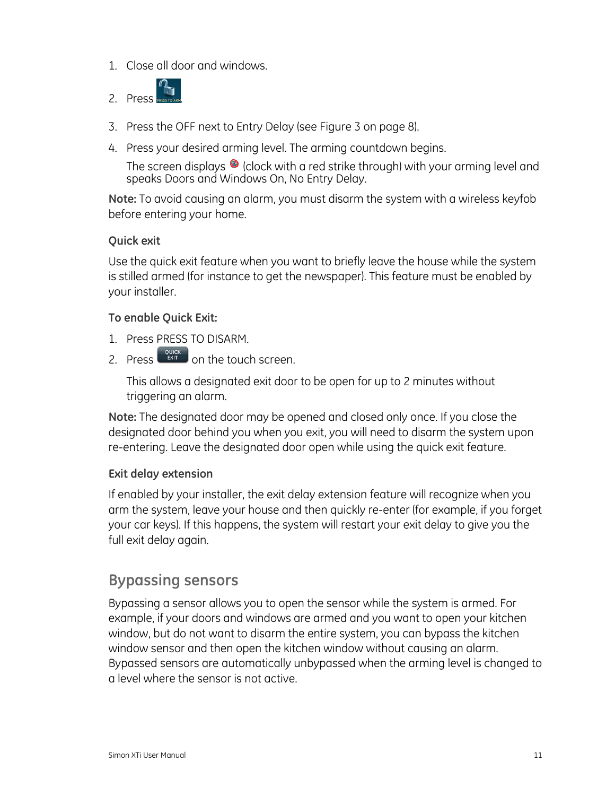1. Close all door and windows.



- 3. Press the OFF next to Entry Delay (see [Figure 3](#page-11-0) [on page 8\)](#page-11-0).
- 4. Press your desired arming level. The arming countdown begins.

The screen displays  $\bullet$  (clock with a red strike through) with your arming level and speaks Doors and Windows On, No Entry Delay.

**Note:** To avoid causing an alarm, you must disarm the system with a wireless keyfob before entering your home.

#### **Quick exit**

Use the quick exit feature when you want to briefly leave the house while the system is stilled armed (for instance to get the newspaper). This feature must be enabled by your installer.

#### **To enable Quick Exit:**

- 1. Press PRESS TO DISARM.
- 2. Press  $\begin{bmatrix} \frac{QU(G)}{P(G)} & \text{on the touch screen.} \end{bmatrix}$

This allows a designated exit door to be open for up to 2 minutes without triggering an alarm.

**Note:** The designated door may be opened and closed only once. If you close the designated door behind you when you exit, you will need to disarm the system upon re-entering. Leave the designated door open while using the quick exit feature.

#### **Exit delay extension**

If enabled by your installer, the exit delay extension feature will recognize when you arm the system, leave your house and then quickly re-enter (for example, if you forget your car keys). If this happens, the system will restart your exit delay to give you the full exit delay again.

## <span id="page-14-0"></span>**Bypassing sensors**

Bypassing a sensor allows you to open the sensor while the system is armed. For example, if your doors and windows are armed and you want to open your kitchen window, but do not want to disarm the entire system, you can bypass the kitchen window sensor and then open the kitchen window without causing an alarm. Bypassed sensors are automatically unbypassed when the arming level is changed to a level where the sensor is not active.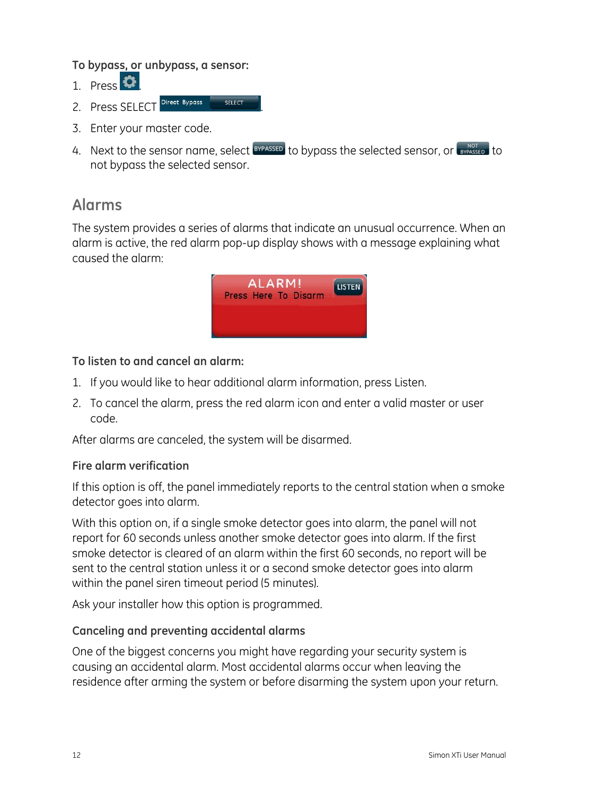#### **To bypass, or unbypass, a sensor:**

- 1. Press  $\bullet$
- 2. Press SFI FCT Direct Bypass sELECT
- 3. Enter your master code.
- 4. Next to the sensor name, select  $\frac{BYPASSED}{B}$  to bypass the selected sensor, or  $\frac{NOT}{BYPASSED}$  to not bypass the selected sensor.

## <span id="page-15-0"></span>**Alarms**

The system provides a series of alarms that indicate an unusual occurrence. When an alarm is active, the red alarm pop-up display shows with a message explaining what caused the alarm:



### **To listen to and cancel an alarm:**

- 1. If you would like to hear additional alarm information, press Listen.
- 2. To cancel the alarm, press the red alarm icon and enter a valid master or user code.

After alarms are canceled, the system will be disarmed.

### **Fire alarm verification**

If this option is off, the panel immediately reports to the central station when a smoke detector goes into alarm.

With this option on, if a single smoke detector goes into alarm, the panel will not report for 60 seconds unless another smoke detector goes into alarm. If the first smoke detector is cleared of an alarm within the first 60 seconds, no report will be sent to the central station unless it or a second smoke detector goes into alarm within the panel siren timeout period (5 minutes).

Ask your installer how this option is programmed.

### **Canceling and preventing accidental alarms**

One of the biggest concerns you might have regarding your security system is causing an accidental alarm. Most accidental alarms occur when leaving the residence after arming the system or before disarming the system upon your return.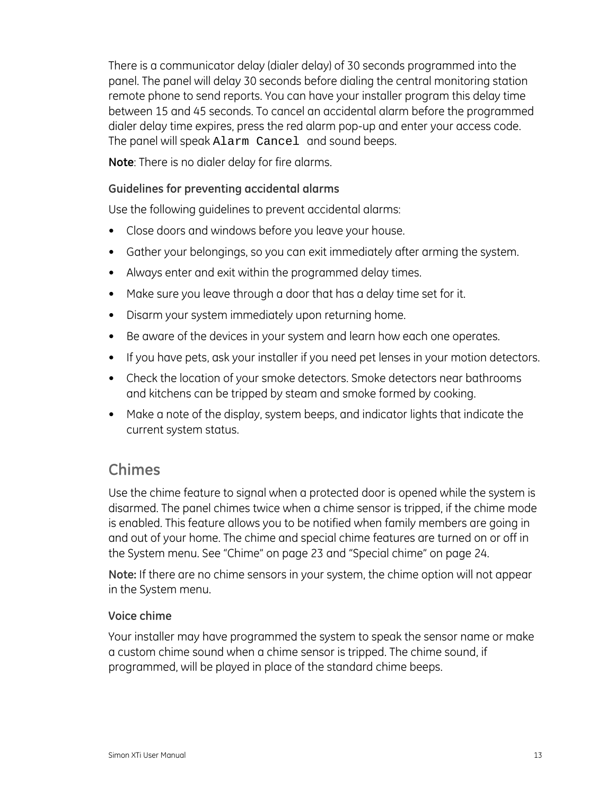There is a communicator delay (dialer delay) of 30 seconds programmed into the panel. The panel will delay 30 seconds before dialing the central monitoring station remote phone to send reports. You can have your installer program this delay time between 15 and 45 seconds. To cancel an accidental alarm before the programmed dialer delay time expires, press the red alarm pop-up and enter your access code. The panel will speak Alarm Cancel and sound beeps.

**Note**: There is no dialer delay for fire alarms.

### **Guidelines for preventing accidental alarms**

Use the following guidelines to prevent accidental alarms:

- Close doors and windows before you leave your house.
- Gather your belongings, so you can exit immediately after arming the system.
- Always enter and exit within the programmed delay times.
- Make sure you leave through a door that has a delay time set for it.
- Disarm your system immediately upon returning home.
- Be aware of the devices in your system and learn how each one operates.
- If you have pets, ask your installer if you need pet lenses in your motion detectors.
- Check the location of your smoke detectors. Smoke detectors near bathrooms and kitchens can be tripped by steam and smoke formed by cooking.
- Make a note of the display, system beeps, and indicator lights that indicate the current system status.

## <span id="page-16-0"></span>**Chimes**

Use the chime feature to signal when a protected door is opened while the system is disarmed. The panel chimes twice when a chime sensor is tripped, if the chime mode is enabled. This feature allows you to be notified when family members are going in and out of your home. The chime and special chime features are turned on or off in the System menu. See ["Chime" on page 23](#page-26-3) and ["Special chime](#page-27-0)" [on page 24](#page-27-0).

**Note:** If there are no chime sensors in your system, the chime option will not appear in the System menu.

### **Voice chime**

Your installer may have programmed the system to speak the sensor name or make a custom chime sound when a chime sensor is tripped. The chime sound, if programmed, will be played in place of the standard chime beeps.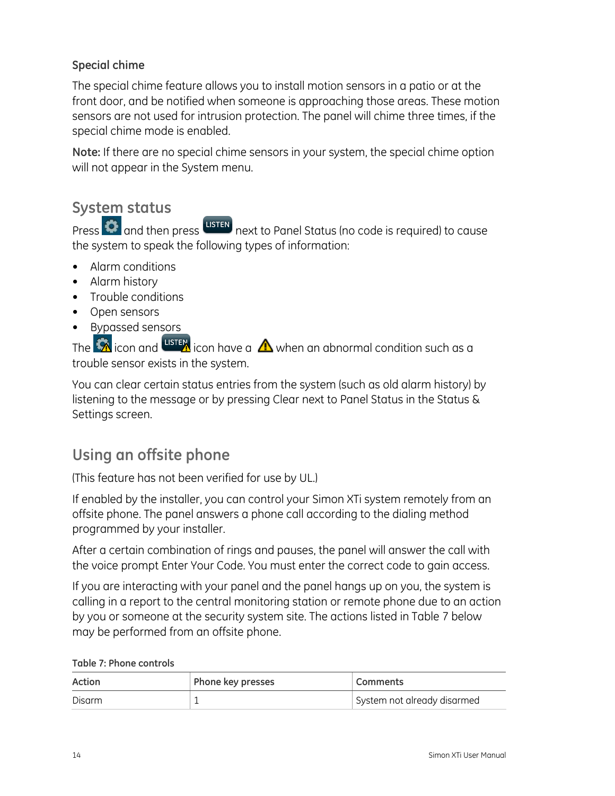## **Special chime**

The special chime feature allows you to install motion sensors in a patio or at the front door, and be notified when someone is approaching those areas. These motion sensors are not used for intrusion protection. The panel will chime three times, if the special chime mode is enabled.

**Note:** If there are no special chime sensors in your system, the special chime option will not appear in the System menu.

## <span id="page-17-0"></span>**System status**

Press  $\bigcirc$  and then press usten next to Panel Status (no code is required) to cause the system to speak the following types of information:

- Alarm conditions
- Alarm history
- Trouble conditions
- Open sensors
- Bypassed sensors

The  $\bigotimes$  icon and  $\overline{\text{user}}$  icon have a  $\bigtriangleup$  when an abnormal condition such as a trouble sensor exists in the system.

You can clear certain status entries from the system (such as old alarm history) by listening to the message or by pressing Clear next to Panel Status in the Status & Settings screen.

## <span id="page-17-1"></span>**Using an offsite phone**

(This feature has not been verified for use by UL.)

If enabled by the installer, you can control your Simon XTi system remotely from an offsite phone. The panel answers a phone call according to the dialing method programmed by your installer.

After a certain combination of rings and pauses, the panel will answer the call with the voice prompt Enter Your Code. You must enter the correct code to gain access.

If you are interacting with your panel and the panel hangs up on you, the system is calling in a report to the central monitoring station or remote phone due to an action by you or someone at the security system site. The actions listed in [Table 7](#page-17-2) [below](#page-17-2) may be performed from an offsite phone.

|  |  |  | Table 7: Phone controls |
|--|--|--|-------------------------|
|--|--|--|-------------------------|

<span id="page-17-2"></span>

| Action | Phone key presses | <b>Comments</b>             |
|--------|-------------------|-----------------------------|
| Disarm |                   | System not already disarmed |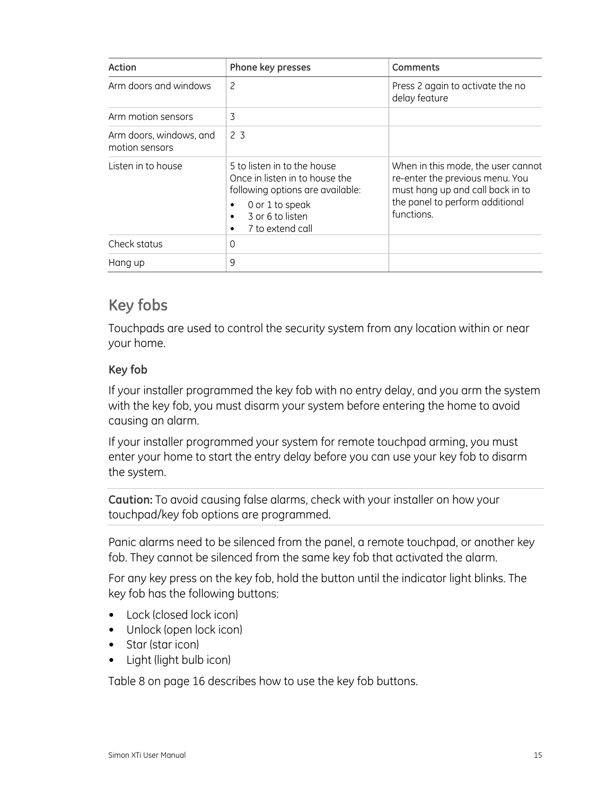| Action                                    | Phone key presses                                                                                                                                                                           | Comments                                                                                                                                                   |
|-------------------------------------------|---------------------------------------------------------------------------------------------------------------------------------------------------------------------------------------------|------------------------------------------------------------------------------------------------------------------------------------------------------------|
| Arm doors and windows                     | 2                                                                                                                                                                                           | Press 2 again to activate the no<br>delay feature                                                                                                          |
| Arm motion sensors                        | 3                                                                                                                                                                                           |                                                                                                                                                            |
| Arm doors, windows, and<br>motion sensors | 2 <sub>3</sub>                                                                                                                                                                              |                                                                                                                                                            |
| Listen in to house                        | 5 to listen in to the house<br>Once in listen in to house the<br>following options are available:<br>0 or 1 to speak<br>٠<br>3 or 6 to listen<br>$\bullet$<br>7 to extend call<br>$\bullet$ | When in this mode, the user cannot<br>re-enter the previous menu. You<br>must hang up and call back in to<br>the panel to perform additional<br>functions. |
| Check status                              | 0                                                                                                                                                                                           |                                                                                                                                                            |
| Hang up                                   | 9                                                                                                                                                                                           |                                                                                                                                                            |

## <span id="page-18-0"></span>**Key fobs**

Touchpads are used to control the security system from any location within or near your home.

### **Key fob**

If your installer programmed the key fob with no entry delay, and you arm the system with the key fob, you must disarm your system before entering the home to avoid causing an alarm.

If your installer programmed your system for remote touchpad arming, you must enter your home to start the entry delay before you can use your key fob to disarm the system.

**Caution:** To avoid causing false alarms, check with your installer on how your touchpad/key fob options are programmed.

Panic alarms need to be silenced from the panel, a remote touchpad, or another key fob. They cannot be silenced from the same key fob that activated the alarm.

For any key press on the key fob, hold the button until the indicator light blinks. The key fob has the following buttons:

- Lock (closed lock icon)
- Unlock (open lock icon)
- Star (star icon)
- Light (light bulb icon)

[Table 8](#page-19-0) [on page 16](#page-19-0) describes how to use the key fob buttons.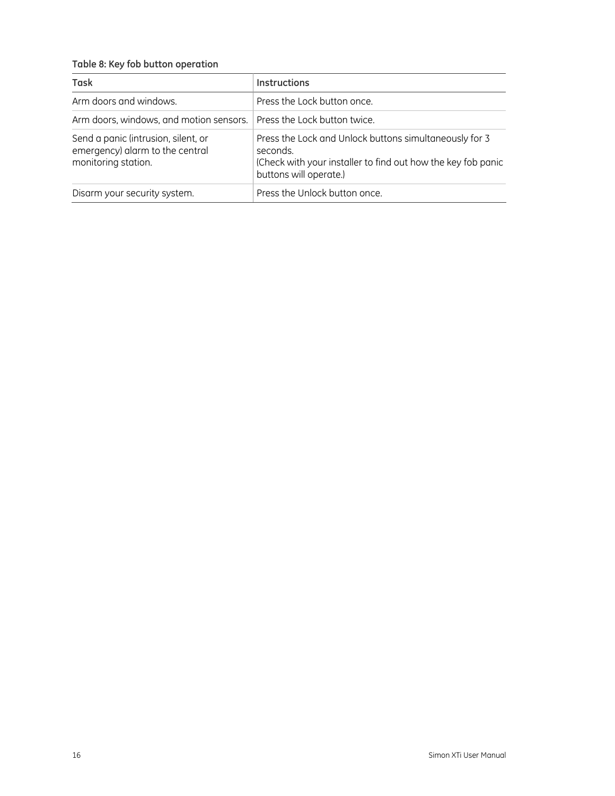#### <span id="page-19-0"></span>**Table 8: Key fob button operation**

| <b>Task</b>                                                                                   | <b>Instructions</b>                                                                                                                                          |
|-----------------------------------------------------------------------------------------------|--------------------------------------------------------------------------------------------------------------------------------------------------------------|
| Arm doors and windows.                                                                        | Press the Lock button once.                                                                                                                                  |
| Arm doors, windows, and motion sensors.   Press the Lock button twice.                        |                                                                                                                                                              |
| Send a panic (intrusion, silent, or<br>emergency) alarm to the central<br>monitoring station. | Press the Lock and Unlock buttons simultaneously for 3<br>seconds.<br>(Check with your installer to find out how the key fob panic<br>buttons will operate.) |
| Disarm your security system.                                                                  | Press the Unlock button once.                                                                                                                                |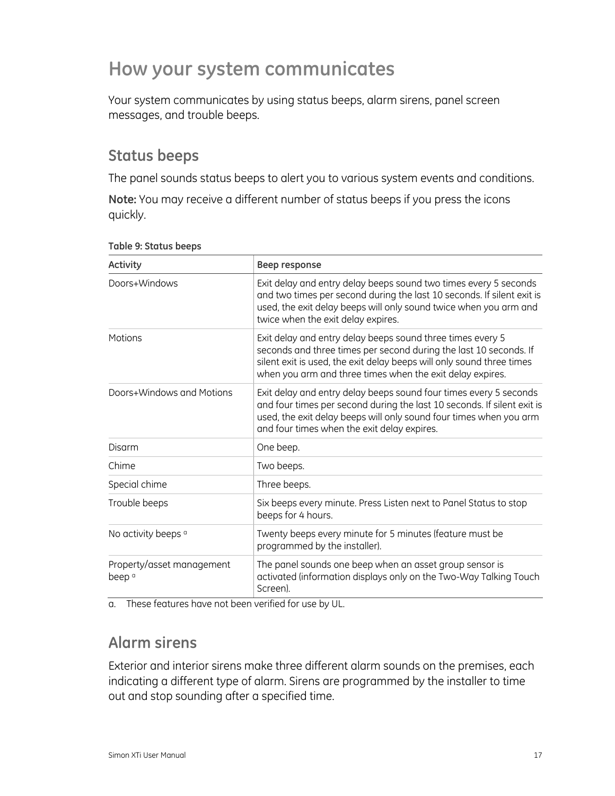## <span id="page-20-0"></span>**How your system communicates**

Your system communicates by using status beeps, alarm sirens, panel screen messages, and trouble beeps.

## <span id="page-20-1"></span>**Status beeps**

The panel sounds status beeps to alert you to various system events and conditions.

**Note:** You may receive a different number of status beeps if you press the icons quickly.

| Activity                                       | Beep response                                                                                                                                                                                                                                                         |
|------------------------------------------------|-----------------------------------------------------------------------------------------------------------------------------------------------------------------------------------------------------------------------------------------------------------------------|
| Doors+Windows                                  | Exit delay and entry delay beeps sound two times every 5 seconds<br>and two times per second during the last 10 seconds. If silent exit is<br>used, the exit delay beeps will only sound twice when you arm and<br>twice when the exit delay expires.                 |
| Motions                                        | Exit delay and entry delay beeps sound three times every 5<br>seconds and three times per second during the last 10 seconds. If<br>silent exit is used, the exit delay beeps will only sound three times<br>when you arm and three times when the exit delay expires. |
| Doors+Windows and Motions                      | Exit delay and entry delay beeps sound four times every 5 seconds<br>and four times per second during the last 10 seconds. If silent exit is<br>used, the exit delay beeps will only sound four times when you arm<br>and four times when the exit delay expires.     |
| Disarm                                         | One beep.                                                                                                                                                                                                                                                             |
| Chime                                          | Two beeps.                                                                                                                                                                                                                                                            |
| Special chime                                  | Three beeps.                                                                                                                                                                                                                                                          |
| Trouble beeps                                  | Six beeps every minute. Press Listen next to Panel Status to stop<br>beeps for 4 hours.                                                                                                                                                                               |
| No activity beeps <sup>a</sup>                 | Twenty beeps every minute for 5 minutes (feature must be<br>programmed by the installer).                                                                                                                                                                             |
| Property/asset management<br>beep <sup>a</sup> | The panel sounds one beep when an asset group sensor is<br>activated (information displays only on the Two-Way Talking Touch<br>Screen).                                                                                                                              |

#### **Table 9: Status beeps**

a. These features have not been verified for use by UL.

## <span id="page-20-2"></span>**Alarm sirens**

Exterior and interior sirens make three different alarm sounds on the premises, each indicating a different type of alarm. Sirens are programmed by the installer to time out and stop sounding after a specified time.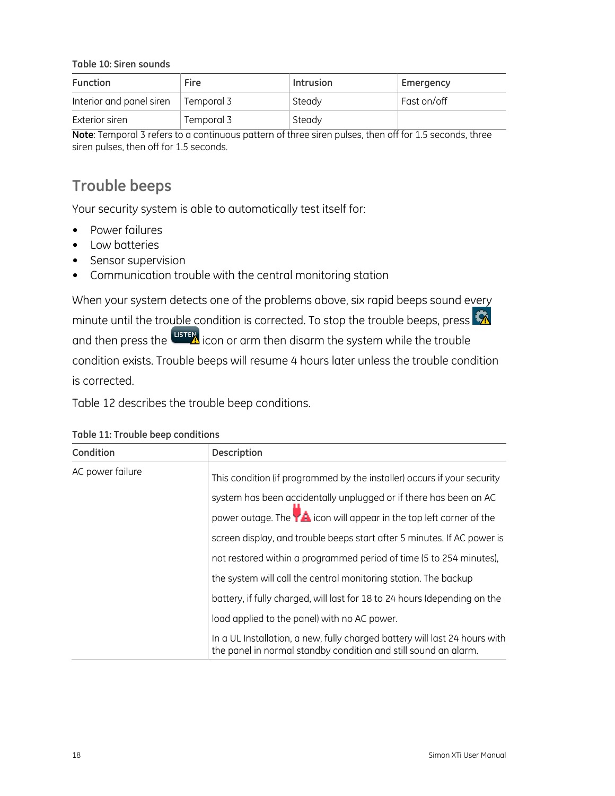**Table 10: Siren sounds** 

| <b>Function</b>                 | Fire         | Intrusion | Emergency         |
|---------------------------------|--------------|-----------|-------------------|
| Interior and panel siren        | l Temporal 3 | Steady    | Fast on/off       |
| Exterior siren                  | Temporal 3   | Steady    |                   |
| $\overline{\phantom{0}}$<br>. — | $\sim$<br>.  | .         | $\cdots$ $\cdots$ |

**Note**: Temporal 3 refers to a continuous pattern of three siren pulses, then off for 1.5 seconds, three siren pulses, then off for 1.5 seconds.

## <span id="page-21-0"></span>**Trouble beeps**

Your security system is able to automatically test itself for:

- Power failures
- Low batteries
- Sensor supervision
- Communication trouble with the central monitoring station

When your system detects one of the problems above, six rapid beeps sound every minute until the trouble condition is corrected. To stop the trouble beeps, press  $\bullet$ and then press the uster icon or arm then disarm the system while the trouble condition exists. Trouble beeps will resume 4 hours later unless the trouble condition is corrected.

[Table 12](#page-24-4) describes the trouble beep conditions.

| Condition        | Description                                                                                                                                   |
|------------------|-----------------------------------------------------------------------------------------------------------------------------------------------|
| AC power failure | This condition (if programmed by the installer) occurs if your security                                                                       |
|                  | system has been accidentally unplugged or if there has been an AC                                                                             |
|                  | power outage. The <b>YA</b> icon will appear in the top left corner of the                                                                    |
|                  | screen display, and trouble beeps start after 5 minutes. If AC power is                                                                       |
|                  | not restored within a programmed period of time (5 to 254 minutes),                                                                           |
|                  | the system will call the central monitoring station. The backup                                                                               |
|                  | battery, if fully charged, will last for 18 to 24 hours (depending on the                                                                     |
|                  | load applied to the panel) with no AC power.                                                                                                  |
|                  | In a UL Installation, a new, fully charged battery will last 24 hours with<br>the panel in normal standby condition and still sound an alarm. |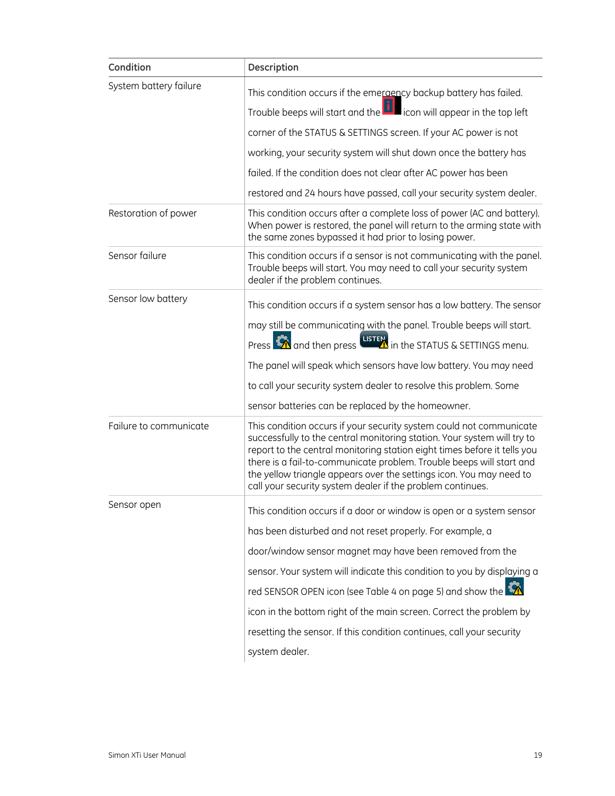| Condition              | Description                                                                                                                                                                                                                                                                                                                                                                                                                             |
|------------------------|-----------------------------------------------------------------------------------------------------------------------------------------------------------------------------------------------------------------------------------------------------------------------------------------------------------------------------------------------------------------------------------------------------------------------------------------|
| System battery failure | This condition occurs if the emeraency backup battery has failed.                                                                                                                                                                                                                                                                                                                                                                       |
|                        | Trouble beeps will start and the $\Box$ icon will appear in the top left                                                                                                                                                                                                                                                                                                                                                                |
|                        | corner of the STATUS & SETTINGS screen. If your AC power is not                                                                                                                                                                                                                                                                                                                                                                         |
|                        | working, your security system will shut down once the battery has                                                                                                                                                                                                                                                                                                                                                                       |
|                        | failed. If the condition does not clear after AC power has been                                                                                                                                                                                                                                                                                                                                                                         |
|                        | restored and 24 hours have passed, call your security system dealer.                                                                                                                                                                                                                                                                                                                                                                    |
| Restoration of power   | This condition occurs after a complete loss of power (AC and battery).<br>When power is restored, the panel will return to the arming state with<br>the same zones bypassed it had prior to losing power.                                                                                                                                                                                                                               |
| Sensor failure         | This condition occurs if a sensor is not communicating with the panel.<br>Trouble beeps will start. You may need to call your security system<br>dealer if the problem continues.                                                                                                                                                                                                                                                       |
| Sensor low battery     | This condition occurs if a system sensor has a low battery. The sensor                                                                                                                                                                                                                                                                                                                                                                  |
|                        | may still be communicating with the panel. Trouble beeps will start.                                                                                                                                                                                                                                                                                                                                                                    |
|                        | Press <b>The and then press LISTEN</b> in the STATUS & SETTINGS menu.                                                                                                                                                                                                                                                                                                                                                                   |
|                        | The panel will speak which sensors have low battery. You may need                                                                                                                                                                                                                                                                                                                                                                       |
|                        | to call your security system dealer to resolve this problem. Some                                                                                                                                                                                                                                                                                                                                                                       |
|                        | sensor batteries can be replaced by the homeowner.                                                                                                                                                                                                                                                                                                                                                                                      |
| Failure to communicate | This condition occurs if your security system could not communicate<br>successfully to the central monitoring station. Your system will try to<br>report to the central monitoring station eight times before it tells you<br>there is a fail-to-communicate problem. Trouble beeps will start and<br>the yellow triangle appears over the settings icon. You may need to<br>call your security system dealer if the problem continues. |
| Sensor open            | This condition occurs if a door or window is open or a system sensor                                                                                                                                                                                                                                                                                                                                                                    |
|                        | has been disturbed and not reset properly. For example, a                                                                                                                                                                                                                                                                                                                                                                               |
|                        | door/window sensor magnet may have been removed from the                                                                                                                                                                                                                                                                                                                                                                                |
|                        | sensor. Your system will indicate this condition to you by displaying a                                                                                                                                                                                                                                                                                                                                                                 |
|                        | red SENSOR OPEN icon (see Table 4 on page 5) and show the                                                                                                                                                                                                                                                                                                                                                                               |
|                        | icon in the bottom right of the main screen. Correct the problem by                                                                                                                                                                                                                                                                                                                                                                     |
|                        | resetting the sensor. If this condition continues, call your security                                                                                                                                                                                                                                                                                                                                                                   |
|                        | system dealer.                                                                                                                                                                                                                                                                                                                                                                                                                          |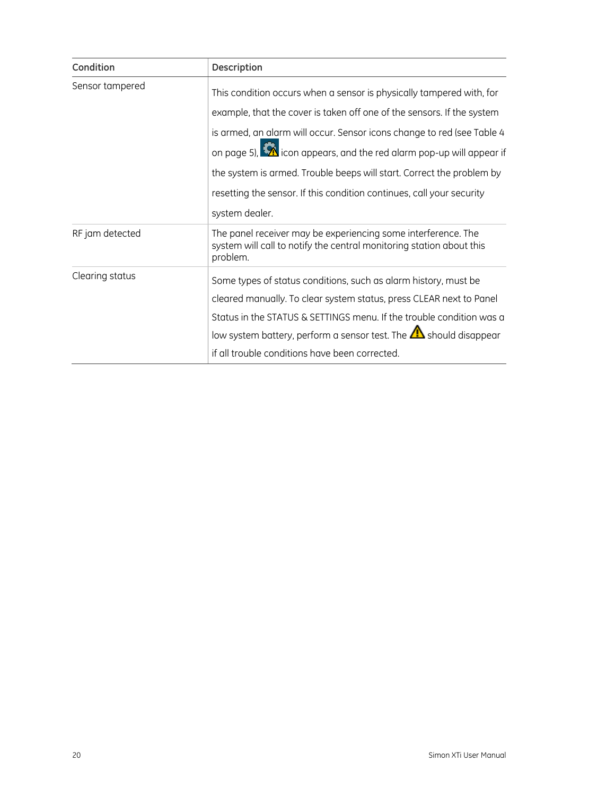| Condition       | <b>Description</b>                                                                                                                                |
|-----------------|---------------------------------------------------------------------------------------------------------------------------------------------------|
| Sensor tampered | This condition occurs when a sensor is physically tampered with, for                                                                              |
|                 | example, that the cover is taken off one of the sensors. If the system                                                                            |
|                 | is armed, an alarm will occur. Sensor icons change to red (see Table 4                                                                            |
|                 | on page 5), <b>A</b> icon appears, and the red alarm pop-up will appear if                                                                        |
|                 | the system is armed. Trouble beeps will start. Correct the problem by                                                                             |
|                 | resetting the sensor. If this condition continues, call your security                                                                             |
|                 | system dealer.                                                                                                                                    |
| RF jam detected | The panel receiver may be experiencing some interference. The<br>system will call to notify the central monitoring station about this<br>problem. |
| Clearing status | Some types of status conditions, such as alarm history, must be                                                                                   |
|                 | cleared manually. To clear system status, press CLEAR next to Panel                                                                               |
|                 | Status in the STATUS & SETTINGS menu. If the trouble condition was a                                                                              |
|                 | low system battery, perform a sensor test. The $\bigtriangleup$ should disappear                                                                  |
|                 | if all trouble conditions have been corrected.                                                                                                    |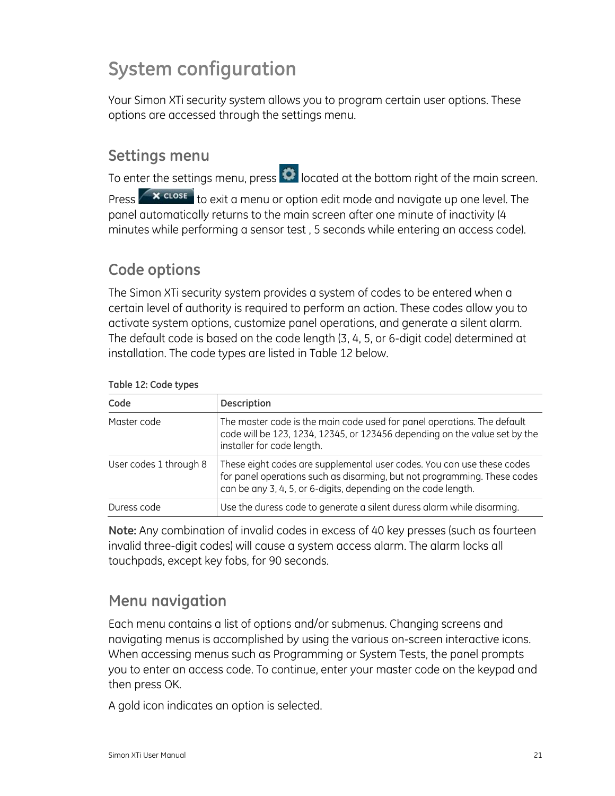## <span id="page-24-0"></span>**System configuration**

Your Simon XTi security system allows you to program certain user options. These options are accessed through the settings menu.

## <span id="page-24-1"></span>**Settings menu**

To enter the settings menu, press  $\bullet$  located at the bottom right of the main screen.

Press  $\left\{ \right. \times \right.$   $\left\{ \right. x$   $\right\}$  to exit a menu or option edit mode and navigate up one level. The panel automatically returns to the main screen after one minute of inactivity (4 minutes while performing a sensor test , 5 seconds while entering an access code).

## <span id="page-24-2"></span>**Code options**

The Simon XTi security system provides a system of codes to be entered when a certain level of authority is required to perform an action. These codes allow you to activate system options, customize panel operations, and generate a silent alarm. The default code is based on the code length (3, 4, 5, or 6-digit code) determined at installation. The code types are listed in [Table 12](#page-24-4) [below.](#page-24-4)

<span id="page-24-4"></span>

| Code                   | <b>Description</b>                                                                                                                                                                                                   |
|------------------------|----------------------------------------------------------------------------------------------------------------------------------------------------------------------------------------------------------------------|
| Master code            | The master code is the main code used for panel operations. The default<br>code will be 123, 1234, 12345, or 123456 depending on the value set by the<br>installer for code length.                                  |
| User codes 1 through 8 | These eight codes are supplemental user codes. You can use these codes<br>for panel operations such as disarming, but not programming. These codes<br>can be any 3, 4, 5, or 6-digits, depending on the code length. |
| Duress code            | Use the duress code to generate a silent duress alarm while disarming.                                                                                                                                               |

#### **Table 12: Code types**

**Note:** Any combination of invalid codes in excess of 40 key presses (such as fourteen invalid three-digit codes) will cause a system access alarm. The alarm locks all touchpads, except key fobs, for 90 seconds.

## <span id="page-24-3"></span>**Menu navigation**

Each menu contains a list of options and/or submenus. Changing screens and navigating menus is accomplished by using the various on-screen interactive icons. When accessing menus such as Programming or System Tests, the panel prompts you to enter an access code. To continue, enter your master code on the keypad and then press OK.

A gold icon indicates an option is selected.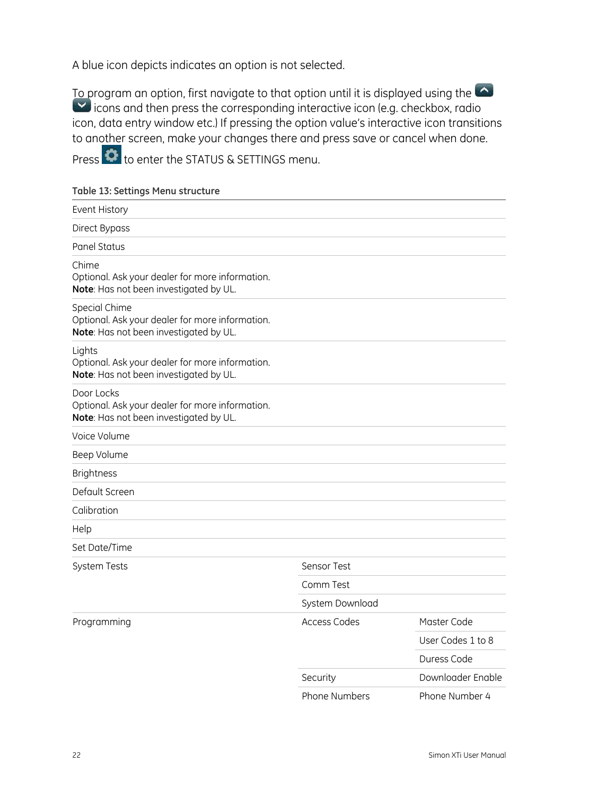A blue icon depicts indicates an option is not selected.

To program an option, first navigate to that option until it is displayed using the icons and then press the corresponding interactive icon (e.g. checkbox, radio icon, data entry window etc.) If pressing the option value's interactive icon transitions to another screen, make your changes there and press save or cancel when done.

Press **th** to enter the STATUS & SETTINGS menu.

#### **Table 13: Settings Menu structure**

| Event History                                                                                              |                     |                   |
|------------------------------------------------------------------------------------------------------------|---------------------|-------------------|
| Direct Bypass                                                                                              |                     |                   |
| Panel Status                                                                                               |                     |                   |
| Chime<br>Optional. Ask your dealer for more information.<br>Note: Has not been investigated by UL.         |                     |                   |
| Special Chime<br>Optional. Ask your dealer for more information.<br>Note: Has not been investigated by UL. |                     |                   |
| Lights<br>Optional. Ask your dealer for more information.<br>Note: Has not been investigated by UL.        |                     |                   |
| Door Locks<br>Optional. Ask your dealer for more information.<br>Note: Has not been investigated by UL.    |                     |                   |
| Voice Volume                                                                                               |                     |                   |
| Beep Volume                                                                                                |                     |                   |
| <b>Brightness</b>                                                                                          |                     |                   |
| Default Screen                                                                                             |                     |                   |
| Calibration                                                                                                |                     |                   |
| Help                                                                                                       |                     |                   |
| Set Date/Time                                                                                              |                     |                   |
| <b>System Tests</b>                                                                                        | Sensor Test         |                   |
|                                                                                                            | Comm Test           |                   |
|                                                                                                            | System Download     |                   |
| Programming                                                                                                | <b>Access Codes</b> | Master Code       |
|                                                                                                            |                     | User Codes 1 to 8 |
|                                                                                                            |                     | Duress Code       |
|                                                                                                            | Security            | Downloader Enable |
|                                                                                                            | Phone Numbers       | Phone Number 4    |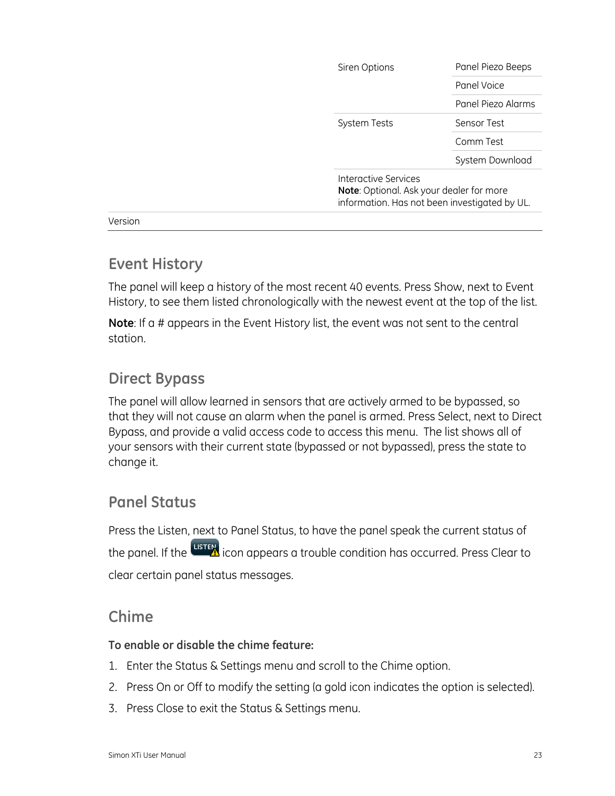| Interactive Services<br>Note: Optional. Ask your dealer for more<br>information. Has not been investigated by UL. |                    |
|-------------------------------------------------------------------------------------------------------------------|--------------------|
|                                                                                                                   | System Download    |
|                                                                                                                   | Comm Test          |
| <b>System Tests</b>                                                                                               | Sensor Test        |
|                                                                                                                   | Panel Piezo Alarms |
|                                                                                                                   | Panel Voice        |
| Siren Options                                                                                                     | Panel Piezo Beeps  |

Version

## <span id="page-26-0"></span>**Event History**

The panel will keep a history of the most recent 40 events. Press Show, next to Event History, to see them listed chronologically with the newest event at the top of the list.

**Note**: If a # appears in the Event History list, the event was not sent to the central station.

## <span id="page-26-1"></span>**Direct Bypass**

The panel will allow learned in sensors that are actively armed to be bypassed, so that they will not cause an alarm when the panel is armed. Press Select, next to Direct Bypass, and provide a valid access code to access this menu. The list shows all of your sensors with their current state (bypassed or not bypassed), press the state to change it.

## <span id="page-26-2"></span>**Panel Status**

Press the Listen, next to Panel Status, to have the panel speak the current status of the panel. If the **LISTEM** icon appears a trouble condition has occurred. Press Clear to clear certain panel status messages.

## <span id="page-26-3"></span>**Chime**

#### **To enable or disable the chime feature:**

- 1. Enter the Status & Settings menu and scroll to the Chime option.
- 2. Press On or Off to modify the setting (a gold icon indicates the option is selected).
- 3. Press Close to exit the Status & Settings menu.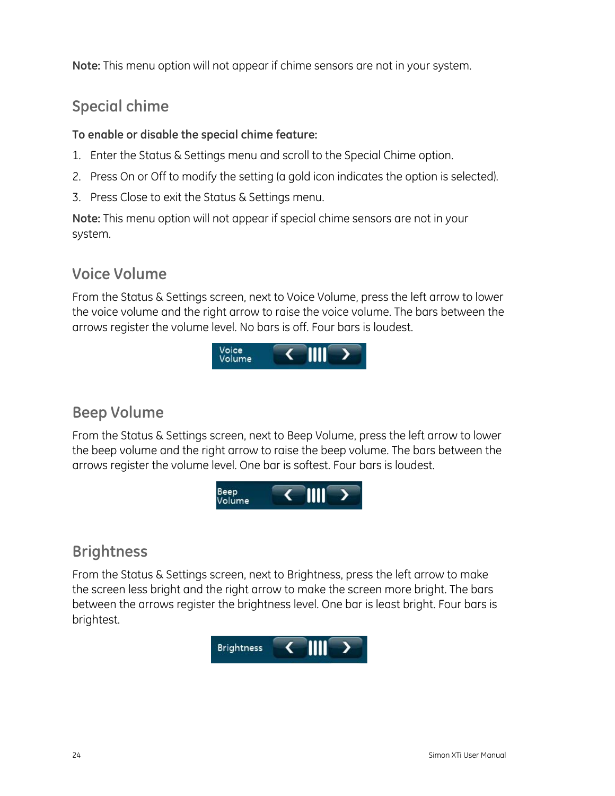**Note:** This menu option will not appear if chime sensors are not in your system.

## <span id="page-27-0"></span>**Special chime**

### **To enable or disable the special chime feature:**

- 1. Enter the Status & Settings menu and scroll to the Special Chime option.
- 2. Press On or Off to modify the setting (a gold icon indicates the option is selected).
- 3. Press Close to exit the Status & Settings menu.

**Note:** This menu option will not appear if special chime sensors are not in your system.

## <span id="page-27-1"></span>**Voice Volume**

From the Status & Settings screen, next to Voice Volume, press the left arrow to lower the voice volume and the right arrow to raise the voice volume. The bars between the arrows register the volume level. No bars is off. Four bars is loudest.



## <span id="page-27-2"></span>**Beep Volume**

From the Status & Settings screen, next to Beep Volume, press the left arrow to lower the beep volume and the right arrow to raise the beep volume. The bars between the arrows register the volume level. One bar is softest. Four bars is loudest.



## <span id="page-27-3"></span>**Brightness**

From the Status & Settings screen, next to Brightness, press the left arrow to make the screen less bright and the right arrow to make the screen more bright. The bars between the arrows register the brightness level. One bar is least bright. Four bars is brightest.

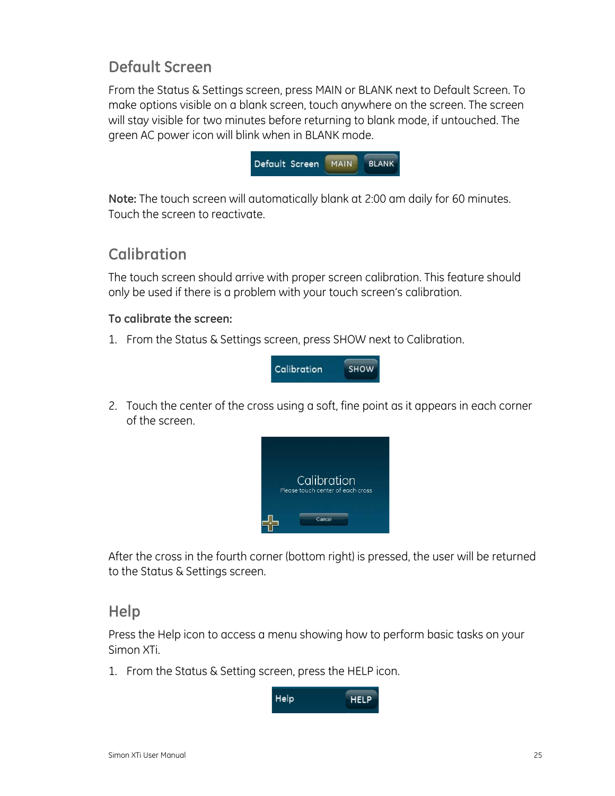## <span id="page-28-0"></span>**Default Screen**

From the Status & Settings screen, press MAIN or BLANK next to Default Screen. To make options visible on a blank screen, touch anywhere on the screen. The screen will stay visible for two minutes before returning to blank mode, if untouched. The green AC power icon will blink when in BLANK mode.



**Note:** The touch screen will automatically blank at 2:00 am daily for 60 minutes. Touch the screen to reactivate.

## <span id="page-28-1"></span>**Calibration**

The touch screen should arrive with proper screen calibration. This feature should only be used if there is a problem with your touch screen's calibration.

#### **To calibrate the screen:**

1. From the Status & Settings screen, press SHOW next to Calibration.



2. Touch the center of the cross using a soft, fine point as it appears in each corner of the screen.



After the cross in the fourth corner (bottom right) is pressed, the user will be returned to the Status & Settings screen.

## <span id="page-28-2"></span>**Help**

Press the Help icon to access a menu showing how to perform basic tasks on your Simon XTi.

1. From the Status & Setting screen, press the HELP icon.

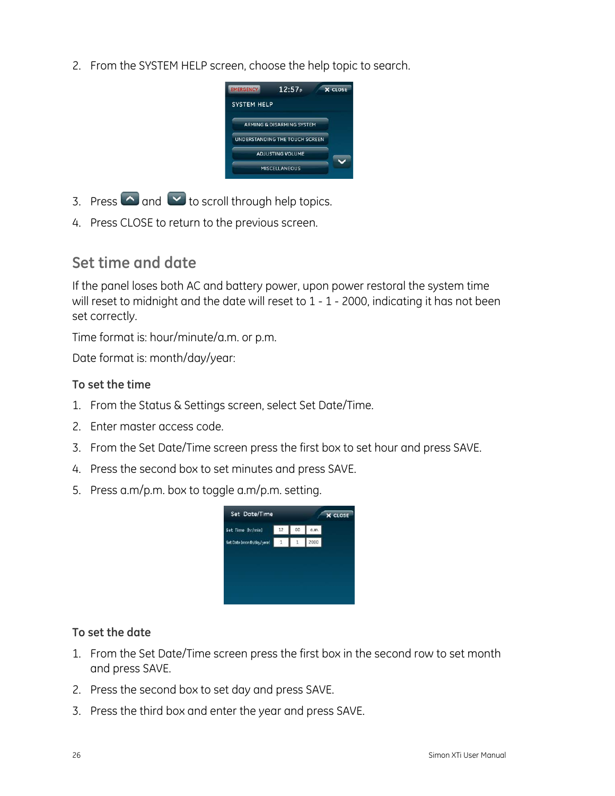2. From the SYSTEM HELP screen, choose the help topic to search.



- 3. Press  $\bigcirc$  and  $\bigcirc$  to scroll through help topics.
- 4. Press CLOSE to return to the previous screen.

## <span id="page-29-0"></span>**Set time and date**

If the panel loses both AC and battery power, upon power restoral the system time will reset to midnight and the date will reset to 1 - 1 - 2000, indicating it has not been set correctly.

Time format is: hour/minute/a.m. or p.m.

Date format is: month/day/year:

### **To set the time**

- 1. From the Status & Settings screen, select Set Date/Time.
- 2. Enter master access code.
- 3. From the Set Date/Time screen press the first box to set hour and press SAVE.
- 4. Press the second box to set minutes and press SAVE.
- 5. Press a.m/p.m. box to toggle a.m/p.m. setting.



#### **To set the date**

- 1. From the Set Date/Time screen press the first box in the second row to set month and press SAVE.
- 2. Press the second box to set day and press SAVE.
- 3. Press the third box and enter the year and press SAVE.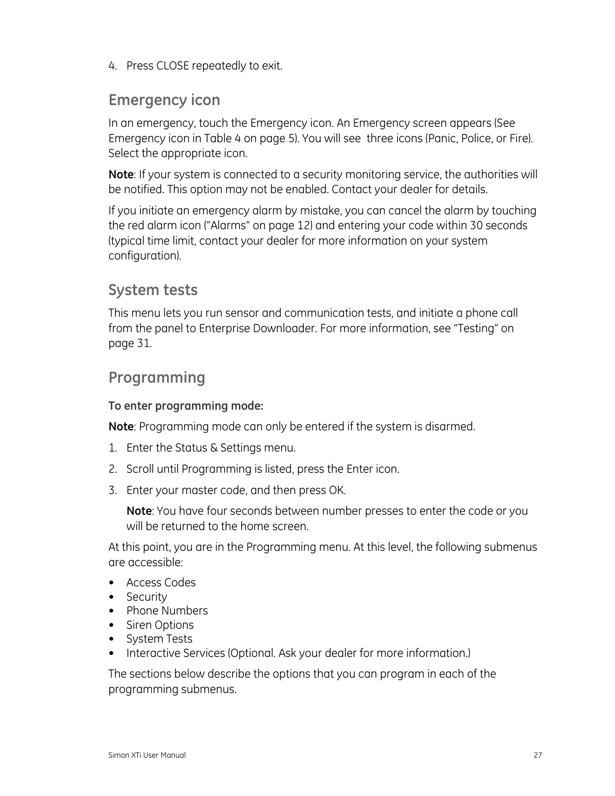4. Press CLOSE repeatedly to exit.

## <span id="page-30-0"></span>**Emergency icon**

In an emergency, touch the Emergency icon. An Emergency screen appears (See Emergency icon in [Table 4](#page-8-0) [on page 5](#page-8-0)). You will see three icons (Panic, Police, or Fire). Select the appropriate icon.

**Note**: If your system is connected to a security monitoring service, the authorities will be notified. This option may not be enabled. Contact your dealer for details.

If you initiate an emergency alarm by mistake, you can cancel the alarm by touching the red alarm icon ("[Alarms](#page-15-0)" [on page 12\)](#page-15-0) and entering your code within 30 seconds (typical time limit, contact your dealer for more information on your system configuration).

## <span id="page-30-1"></span>**System tests**

This menu lets you run sensor and communication tests, and initiate a phone call from the panel to Enterprise Downloader. For more information, see "[Testing](#page-34-0)" [on](#page-34-0)  [page 31](#page-34-0).

## <span id="page-30-2"></span>**Programming**

### **To enter programming mode:**

**Note**: Programming mode can only be entered if the system is disarmed.

- 1. Enter the Status & Settings menu.
- 2. Scroll until Programming is listed, press the Enter icon.
- 3. Enter your master code, and then press OK.

**Note**: You have four seconds between number presses to enter the code or you will be returned to the home screen.

At this point, you are in the Programming menu. At this level, the following submenus are accessible:

- Access Codes
- Security
- Phone Numbers
- Siren Options
- System Tests
- Interactive Services (Optional. Ask your dealer for more information.)

The sections below describe the options that you can program in each of the programming submenus.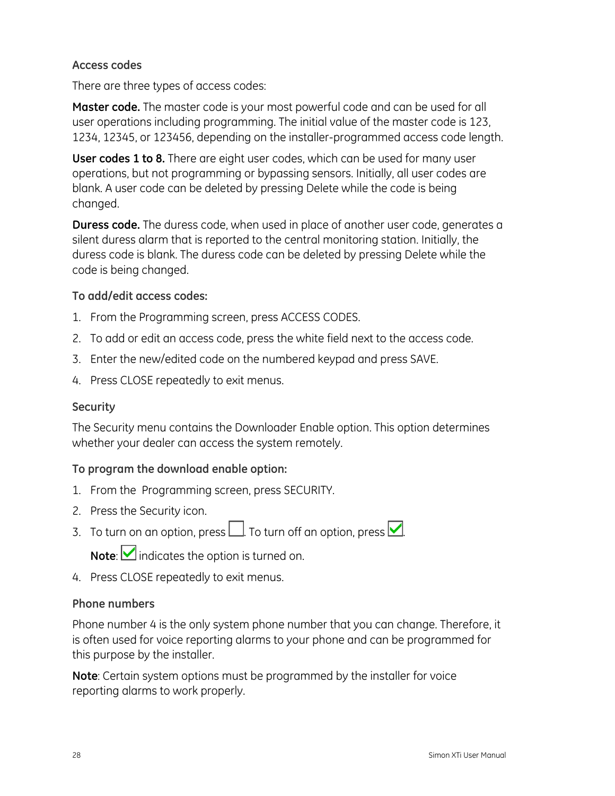#### **Access codes**

There are three types of access codes:

**Master code.** The master code is your most powerful code and can be used for all user operations including programming. The initial value of the master code is 123, 1234, 12345, or 123456, depending on the installer-programmed access code length.

**User codes 1 to 8.** There are eight user codes, which can be used for many user operations, but not programming or bypassing sensors. Initially, all user codes are blank. A user code can be deleted by pressing Delete while the code is being changed.

**Duress code.** The duress code, when used in place of another user code, generates a silent duress alarm that is reported to the central monitoring station. Initially, the duress code is blank. The duress code can be deleted by pressing Delete while the code is being changed.

#### **To add/edit access codes:**

- 1. From the Programming screen, press ACCESS CODES.
- 2. To add or edit an access code, press the white field next to the access code.
- 3. Enter the new/edited code on the numbered keypad and press SAVE.
- 4. Press CLOSE repeatedly to exit menus.

#### **Security**

The Security menu contains the Downloader Enable option. This option determines whether your dealer can access the system remotely.

#### **To program the download enable option:**

- 1. From the Programming screen, press SECURITY.
- 2. Press the Security icon.
- 3. To turn on an option, press  $\Box$  To turn off an option, press  $\Box$

Note: **indicates** the option is turned on.

4. Press CLOSE repeatedly to exit menus.

#### **Phone numbers**

Phone number 4 is the only system phone number that you can change. Therefore, it is often used for voice reporting alarms to your phone and can be programmed for this purpose by the installer.

**Note**: Certain system options must be programmed by the installer for voice reporting alarms to work properly.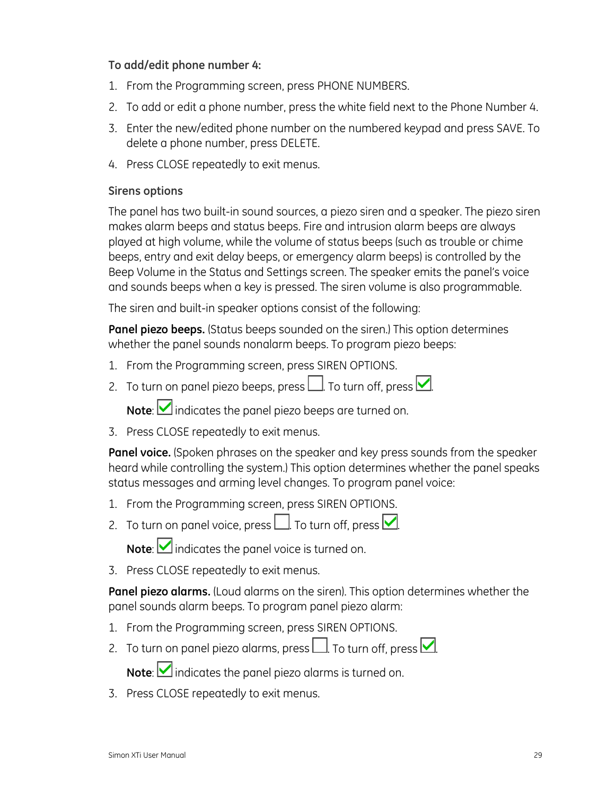#### **To add/edit phone number 4:**

- 1. From the Programming screen, press PHONE NUMBERS.
- 2. To add or edit a phone number, press the white field next to the Phone Number 4.
- 3. Enter the new/edited phone number on the numbered keypad and press SAVE. To delete a phone number, press DELETE.
- 4. Press CLOSE repeatedly to exit menus.

#### **Sirens options**

The panel has two built-in sound sources, a piezo siren and a speaker. The piezo siren makes alarm beeps and status beeps. Fire and intrusion alarm beeps are always played at high volume, while the volume of status beeps (such as trouble or chime beeps, entry and exit delay beeps, or emergency alarm beeps) is controlled by the Beep Volume in the Status and Settings screen. The speaker emits the panel's voice and sounds beeps when a key is pressed. The siren volume is also programmable.

The siren and built-in speaker options consist of the following:

**Panel piezo beeps.** (Status beeps sounded on the siren.) This option determines whether the panel sounds nonalarm beeps. To program piezo beeps:

- 1. From the Programming screen, press SIREN OPTIONS.
- 2. To turn on panel piezo beeps, press  $\Box$  To turn off, press  $\Box$

**Note:** indicates the panel piezo beeps are turned on.

3. Press CLOSE repeatedly to exit menus.

**Panel voice.** (Spoken phrases on the speaker and key press sounds from the speaker heard while controlling the system.) This option determines whether the panel speaks status messages and arming level changes. To program panel voice:

- 1. From the Programming screen, press SIREN OPTIONS.
- 2. To turn on panel voice, press  $\Box$ . To turn off, press  $\Box$ .

**Note:** indicates the panel voice is turned on.

3. Press CLOSE repeatedly to exit menus.

**Panel piezo alarms.** (Loud alarms on the siren). This option determines whether the panel sounds alarm beeps. To program panel piezo alarm:

- 1. From the Programming screen, press SIREN OPTIONS.
- 2. To turn on panel piezo alarms, press  $\Box$ . To turn off, press  $\Box$ .

Note: **indicates the panel piezo alarms is turned on.** 

3. Press CLOSE repeatedly to exit menus.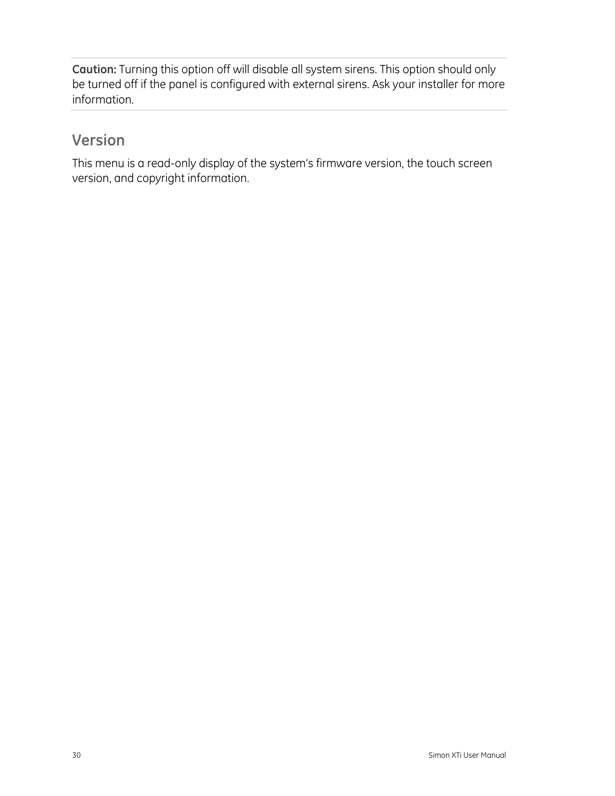**Caution:** Turning this option off will disable all system sirens. This option should only be turned off if the panel is configured with external sirens. Ask your installer for more information.

## <span id="page-33-0"></span>**Version**

This menu is a read-only display of the system's firmware version, the touch screen version, and copyright information.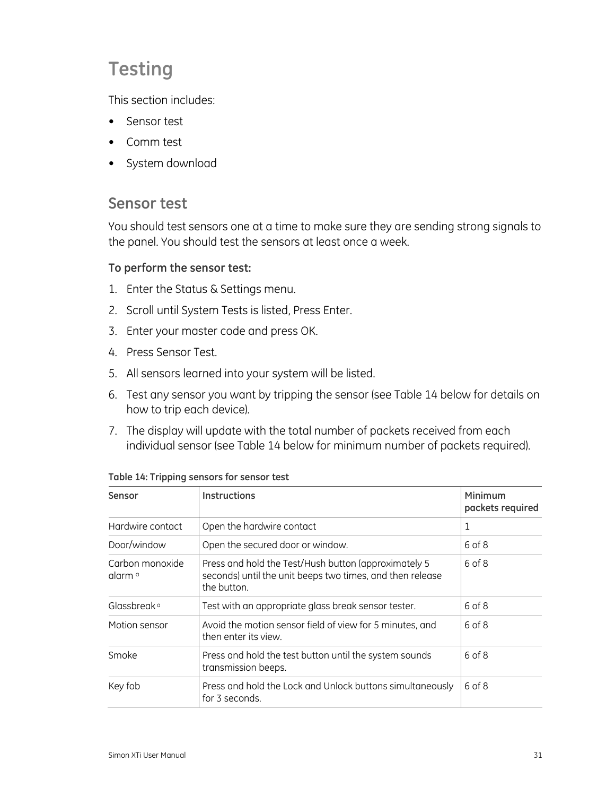## <span id="page-34-0"></span>**Testing**

This section includes:

- Sensor test
- Comm test
- System download

## <span id="page-34-1"></span>**Sensor test**

You should test sensors one at a time to make sure they are sending strong signals to the panel. You should test the sensors at least once a week.

## **To perform the sensor test:**

- 1. Enter the Status & Settings menu.
- 2. Scroll until System Tests is listed, Press Enter.
- 3. Enter your master code and press OK.
- 4. Press Sensor Test.
- 5. All sensors learned into your system will be listed.
- 6. Test any sensor you want by tripping the sensor (see [Table 14](#page-34-2) [below](#page-34-2) for details on how to trip each device).
- 7. The display will update with the total number of packets received from each individual sensor (see [Table 14](#page-34-2) [below](#page-34-2) for minimum number of packets required).

<span id="page-34-2"></span>

| Sensor                                | <b>Instructions</b>                                                                                                              | Minimum<br>packets required |
|---------------------------------------|----------------------------------------------------------------------------------------------------------------------------------|-----------------------------|
| Hardwire contact                      | Open the hardwire contact                                                                                                        | 1                           |
| Door/window                           | Open the secured door or window.                                                                                                 | 6 of 8                      |
| Carbon monoxide<br>alarm <sup>a</sup> | Press and hold the Test/Hush button (approximately 5<br>seconds) until the unit beeps two times, and then release<br>the button. | 6 of 8                      |
| Glassbreak <sup>a</sup>               | Test with an appropriate glass break sensor tester.                                                                              | 6 of 8                      |
| Motion sensor                         | Avoid the motion sensor field of view for 5 minutes, and<br>then enter its view.                                                 | 6 of 8                      |
| Smoke                                 | Press and hold the test button until the system sounds<br>transmission beeps.                                                    | 6 of 8                      |
| Key fob                               | Press and hold the Lock and Unlock buttons simultaneously<br>for 3 seconds.                                                      | 6 of 8                      |

**Table 14: Tripping sensors for sensor test**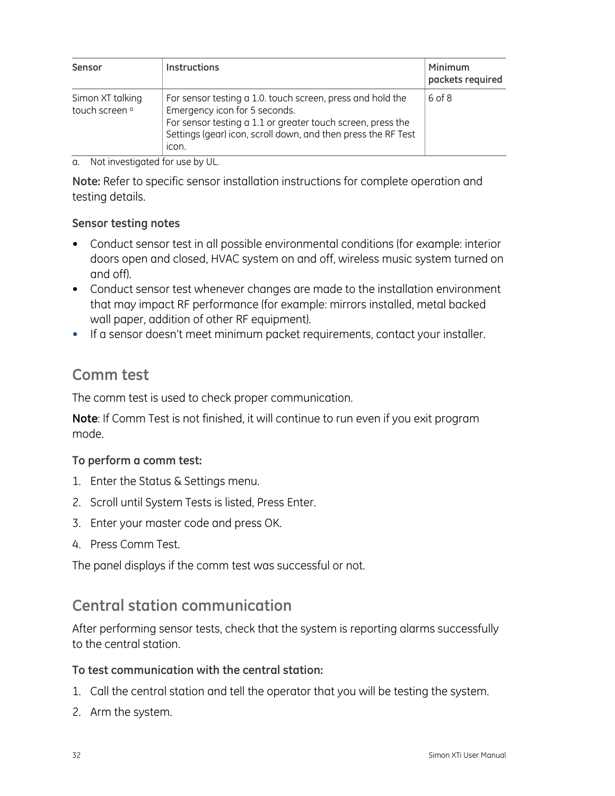| Sensor                                        | <b>Instructions</b>                                                                                                                                                                                                                  | Minimum<br>packets required |
|-----------------------------------------------|--------------------------------------------------------------------------------------------------------------------------------------------------------------------------------------------------------------------------------------|-----------------------------|
| Simon XT talking<br>touch screen <sup>a</sup> | For sensor testing a 1.0. touch screen, press and hold the<br>Emergency icon for 5 seconds.<br>For sensor testing a 1.1 or greater touch screen, press the<br>Settings (gear) icon, scroll down, and then press the RF Test<br>icon. | 6 of 8                      |

a. Not investigated for use by UL.

**Note:** Refer to specific sensor installation instructions for complete operation and testing details.

#### **Sensor testing notes**

- Conduct sensor test in all possible environmental conditions (for example: interior doors open and closed, HVAC system on and off, wireless music system turned on and off).
- Conduct sensor test whenever changes are made to the installation environment that may impact RF performance (for example: mirrors installed, metal backed wall paper, addition of other RF equipment).
- If a sensor doesn't meet minimum packet requirements, contact your installer.

## <span id="page-35-0"></span>**Comm test**

The comm test is used to check proper communication.

**Note**: If Comm Test is not finished, it will continue to run even if you exit program mode.

#### **To perform a comm test:**

- 1. Enter the Status & Settings menu.
- 2. Scroll until System Tests is listed, Press Enter.
- 3. Enter your master code and press OK.
- 4. Press Comm Test.

The panel displays if the comm test was successful or not.

## <span id="page-35-1"></span>**Central station communication**

After performing sensor tests, check that the system is reporting alarms successfully to the central station.

#### **To test communication with the central station:**

- 1. Call the central station and tell the operator that you will be testing the system.
- 2. Arm the system.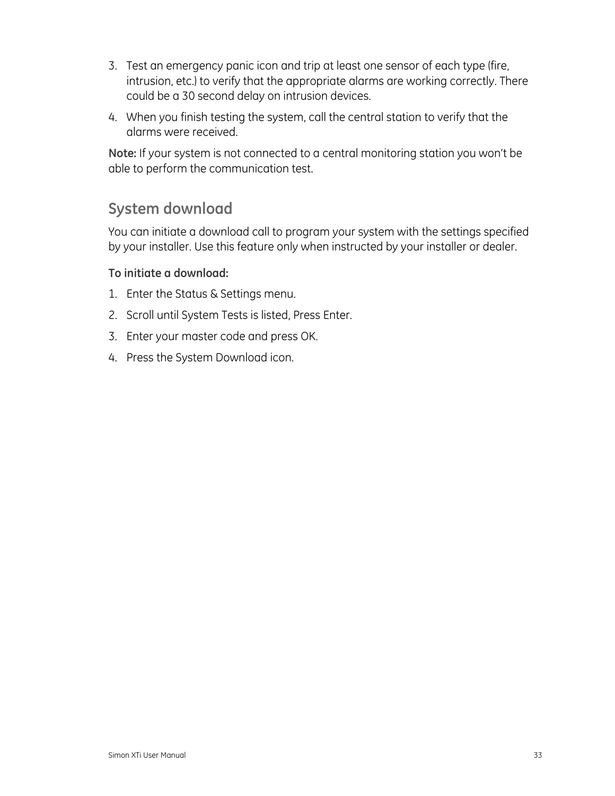- 3. Test an emergency panic icon and trip at least one sensor of each type (fire, intrusion, etc.) to verify that the appropriate alarms are working correctly. There could be a 30 second delay on intrusion devices.
- 4. When you finish testing the system, call the central station to verify that the alarms were received.

**Note:** If your system is not connected to a central monitoring station you won't be able to perform the communication test.

## <span id="page-36-0"></span>**System download**

You can initiate a download call to program your system with the settings specified by your installer. Use this feature only when instructed by your installer or dealer.

## **To initiate a download:**

- 1. Enter the Status & Settings menu.
- 2. Scroll until System Tests is listed, Press Enter.
- 3. Enter your master code and press OK.
- 4. Press the System Download icon.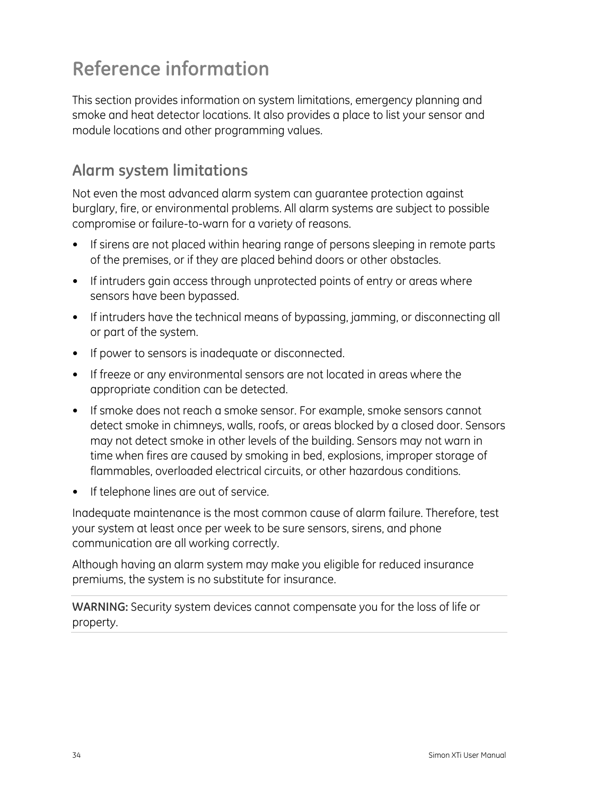## <span id="page-37-0"></span>**Reference information**

This section provides information on system limitations, emergency planning and smoke and heat detector locations. It also provides a place to list your sensor and module locations and other programming values.

## <span id="page-37-1"></span>**Alarm system limitations**

Not even the most advanced alarm system can guarantee protection against burglary, fire, or environmental problems. All alarm systems are subject to possible compromise or failure-to-warn for a variety of reasons.

- If sirens are not placed within hearing range of persons sleeping in remote parts of the premises, or if they are placed behind doors or other obstacles.
- If intruders gain access through unprotected points of entry or areas where sensors have been bypassed.
- If intruders have the technical means of bypassing, jamming, or disconnecting all or part of the system.
- If power to sensors is inadequate or disconnected.
- If freeze or any environmental sensors are not located in areas where the appropriate condition can be detected.
- If smoke does not reach a smoke sensor. For example, smoke sensors cannot detect smoke in chimneys, walls, roofs, or areas blocked by a closed door. Sensors may not detect smoke in other levels of the building. Sensors may not warn in time when fires are caused by smoking in bed, explosions, improper storage of flammables, overloaded electrical circuits, or other hazardous conditions.
- If telephone lines are out of service.

Inadequate maintenance is the most common cause of alarm failure. Therefore, test your system at least once per week to be sure sensors, sirens, and phone communication are all working correctly.

Although having an alarm system may make you eligible for reduced insurance premiums, the system is no substitute for insurance.

**WARNING:** Security system devices cannot compensate you for the loss of life or property.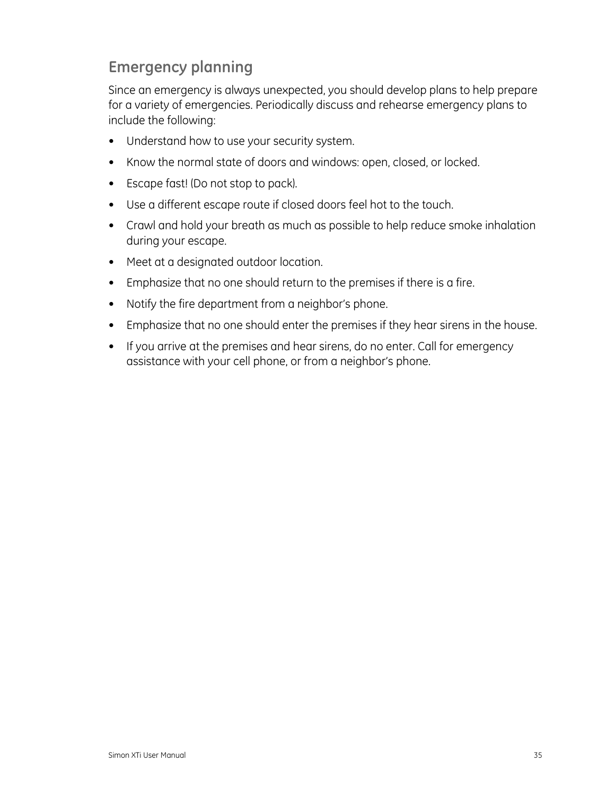## <span id="page-38-0"></span>**Emergency planning**

Since an emergency is always unexpected, you should develop plans to help prepare for a variety of emergencies. Periodically discuss and rehearse emergency plans to include the following:

- Understand how to use your security system.
- Know the normal state of doors and windows: open, closed, or locked.
- Escape fast! (Do not stop to pack).
- Use a different escape route if closed doors feel hot to the touch.
- Crawl and hold your breath as much as possible to help reduce smoke inhalation during your escape.
- Meet at a designated outdoor location.
- Emphasize that no one should return to the premises if there is a fire.
- Notify the fire department from a neighbor's phone.
- Emphasize that no one should enter the premises if they hear sirens in the house.
- If you arrive at the premises and hear sirens, do no enter. Call for emergency assistance with your cell phone, or from a neighbor's phone.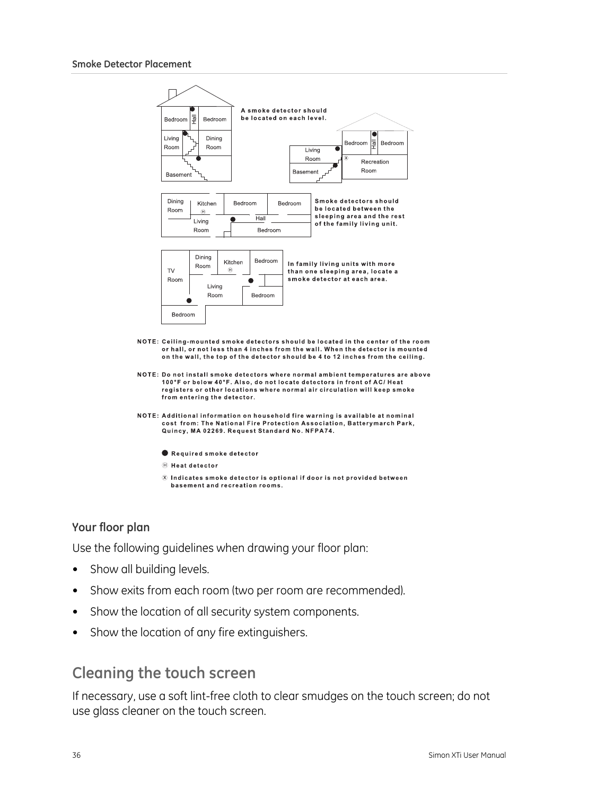

#### **Your floor plan**

Use the following guidelines when drawing your floor plan:

- Show all building levels.
- Show exits from each room (two per room are recommended).
- Show the location of all security system components.
- Show the location of any fire extinguishers.

## <span id="page-39-0"></span>**Cleaning the touch screen**

If necessary, use a soft lint-free cloth to clear smudges on the touch screen; do not use glass cleaner on the touch screen.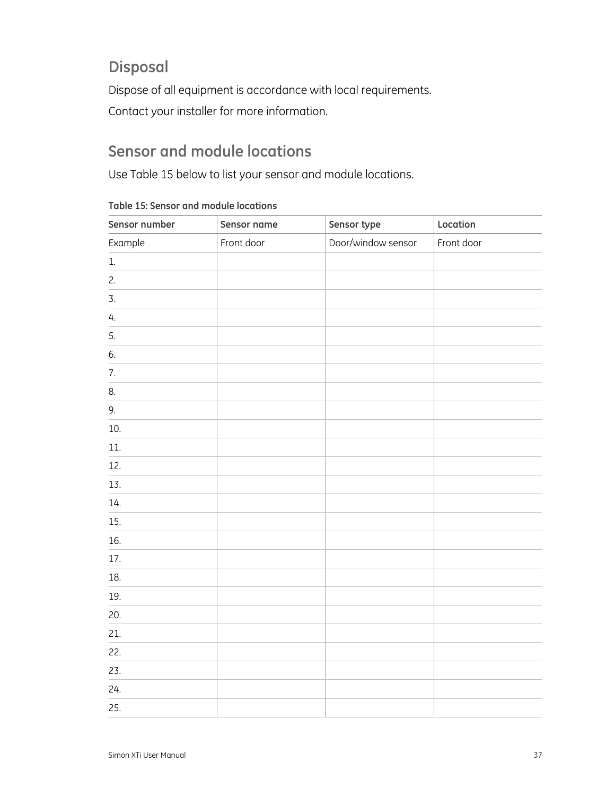## <span id="page-40-0"></span>**Disposal**

Dispose of all equipment is accordance with local requirements.

Contact your installer for more information.

## <span id="page-40-1"></span>**Sensor and module locations**

Use [Table 15](#page-40-2) [below](#page-40-2) to list your sensor and module locations.

<span id="page-40-2"></span>

| Sensor number | Sensor name | Sensor type        | Location   |
|---------------|-------------|--------------------|------------|
| Example       | Front door  | Door/window sensor | Front door |
| $1.$          |             |                    |            |
| 2.            |             |                    |            |
| 3.            |             |                    |            |
| 4.            |             |                    |            |
| 5.            |             |                    |            |
| 6.            |             |                    |            |
| 7.            |             |                    |            |
| 8.            |             |                    |            |
| 9.            |             |                    |            |
| 10.           |             |                    |            |
| 11.           |             |                    |            |
| 12.           |             |                    |            |
| 13.           |             |                    |            |
| 14.           |             |                    |            |
| 15.           |             |                    |            |
| 16.           |             |                    |            |
| 17.           |             |                    |            |
| 18.           |             |                    |            |
| 19.           |             |                    |            |
| 20.           |             |                    |            |
| 21.           |             |                    |            |
| 22.           |             |                    |            |
| 23.           |             |                    |            |
| 24.           |             |                    |            |
| 25.           |             |                    |            |

**Table 15: Sensor and module locations**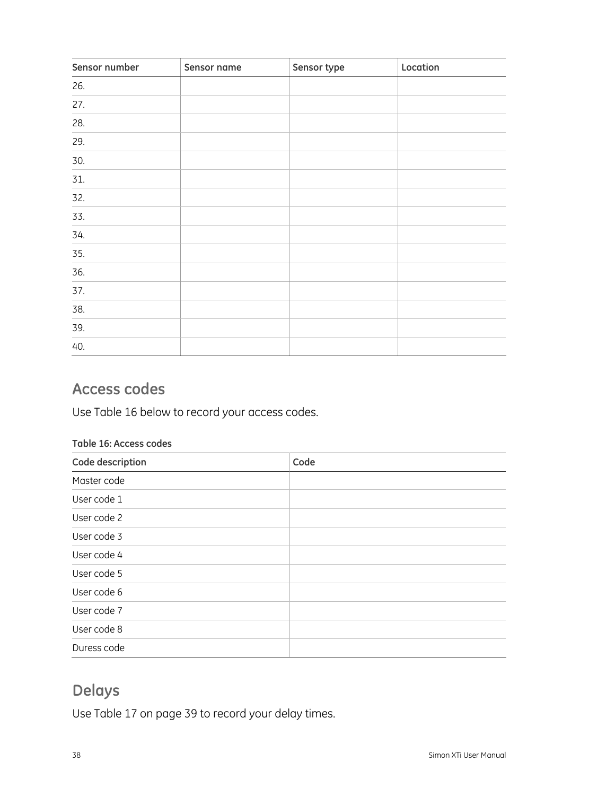| Sensor number | Sensor name | Sensor type | Location |
|---------------|-------------|-------------|----------|
| 26.           |             |             |          |
| 27.           |             |             |          |
| 28.           |             |             |          |
| 29.           |             |             |          |
| 30.           |             |             |          |
| 31.           |             |             |          |
| 32.           |             |             |          |
| 33.           |             |             |          |
| 34.           |             |             |          |
| 35.           |             |             |          |
| 36.           |             |             |          |
| 37.           |             |             |          |
| 38.           |             |             |          |
| 39.           |             |             |          |
| 40.           |             |             |          |

## <span id="page-41-0"></span>**Access codes**

Use [Table 16](#page-41-2) [below](#page-41-2) to record your access codes.

#### <span id="page-41-2"></span>**Table 16: Access codes**

| Code description | Code |
|------------------|------|
| Master code      |      |
| User code 1      |      |
| User code 2      |      |
| User code 3      |      |
| User code 4      |      |
| User code 5      |      |
| User code 6      |      |
| User code 7      |      |
| User code 8      |      |
| Duress code      |      |

## <span id="page-41-1"></span>**Delays**

Use [Table 17](#page-42-1) [on page 39](#page-42-1) to record your delay times.